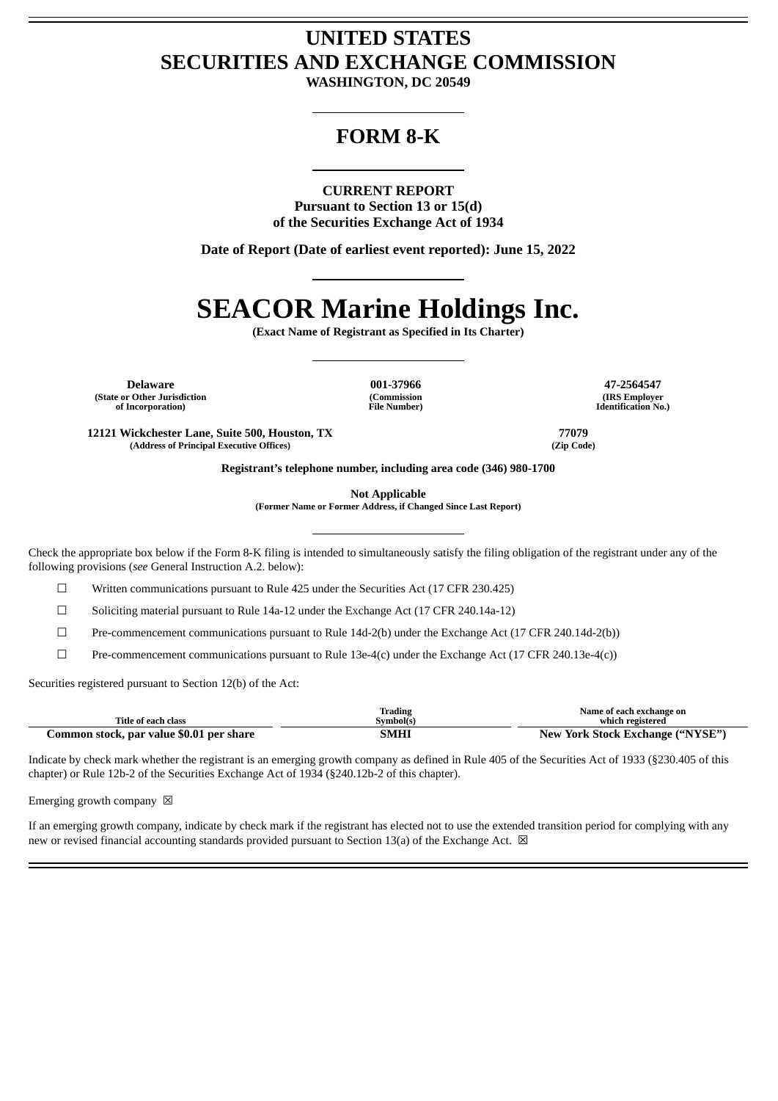# **UNITED STATES SECURITIES AND EXCHANGE COMMISSION**

**WASHINGTON, DC 20549**

# **FORM 8-K**

## **CURRENT REPORT**

**Pursuant to Section 13 or 15(d) of the Securities Exchange Act of 1934**

**Date of Report (Date of earliest event reported): June 15, 2022**

# **SEACOR Marine Holdings Inc.**

**(Exact Name of Registrant as Specified in Its Charter)**

**Delaware 001-37966 47-2564547 (State or Other Jurisdiction of Incorporation)**

**(Commission File Number)**

**(IRS Employer Identification No.)**

**12121 Wickchester Lane, Suite 500, Houston, TX 77079 (Address of Principal Executive Offices) (Zip Code)**

**Registrant's telephone number, including area code (346) 980-1700**

**Not Applicable**

**(Former Name or Former Address, if Changed Since Last Report)**

Check the appropriate box below if the Form 8-K filing is intended to simultaneously satisfy the filing obligation of the registrant under any of the following provisions (*see* General Instruction A.2. below):

☐ Written communications pursuant to Rule 425 under the Securities Act (17 CFR 230.425)

☐ Soliciting material pursuant to Rule 14a-12 under the Exchange Act (17 CFR 240.14a-12)

☐ Pre-commencement communications pursuant to Rule 14d-2(b) under the Exchange Act (17 CFR 240.14d-2(b))

☐ Pre-commencement communications pursuant to Rule 13e-4(c) under the Exchange Act (17 CFR 240.13e-4(c))

Securities registered pursuant to Section 12(b) of the Act:

|                                          | Trading   | Name of each exchange on         |
|------------------------------------------|-----------|----------------------------------|
| Title of each class                      | Symbol(s) | which registered                 |
| Common stock, par value \$0.01 per share | SMHI      | New York Stock Exchange ("NYSE") |

Indicate by check mark whether the registrant is an emerging growth company as defined in Rule 405 of the Securities Act of 1933 (§230.405 of this chapter) or Rule 12b-2 of the Securities Exchange Act of 1934 (§240.12b-2 of this chapter).

Emerging growth company  $\boxtimes$ 

If an emerging growth company, indicate by check mark if the registrant has elected not to use the extended transition period for complying with any new or revised financial accounting standards provided pursuant to Section 13(a) of the Exchange Act.  $\boxtimes$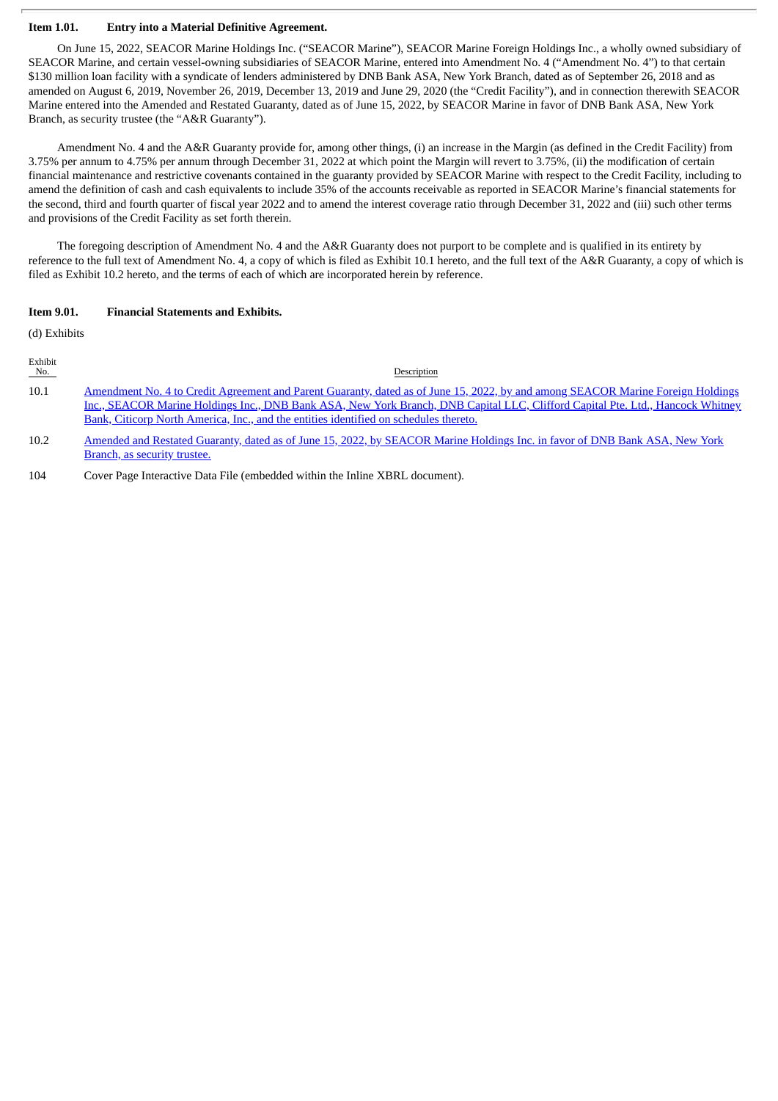#### **Item 1.01. Entry into a Material Definitive Agreement.**

On June 15, 2022, SEACOR Marine Holdings Inc. ("SEACOR Marine"), SEACOR Marine Foreign Holdings Inc., a wholly owned subsidiary of SEACOR Marine, and certain vessel-owning subsidiaries of SEACOR Marine, entered into Amendment No. 4 ("Amendment No. 4") to that certain \$130 million loan facility with a syndicate of lenders administered by DNB Bank ASA, New York Branch, dated as of September 26, 2018 and as amended on August 6, 2019, November 26, 2019, December 13, 2019 and June 29, 2020 (the "Credit Facility"), and in connection therewith SEACOR Marine entered into the Amended and Restated Guaranty, dated as of June 15, 2022, by SEACOR Marine in favor of DNB Bank ASA, New York Branch, as security trustee (the "A&R Guaranty").

Amendment No. 4 and the A&R Guaranty provide for, among other things, (i) an increase in the Margin (as defined in the Credit Facility) from 3.75% per annum to 4.75% per annum through December 31, 2022 at which point the Margin will revert to 3.75%, (ii) the modification of certain financial maintenance and restrictive covenants contained in the guaranty provided by SEACOR Marine with respect to the Credit Facility, including to amend the definition of cash and cash equivalents to include 35% of the accounts receivable as reported in SEACOR Marine's financial statements for the second, third and fourth quarter of fiscal year 2022 and to amend the interest coverage ratio through December 31, 2022 and (iii) such other terms and provisions of the Credit Facility as set forth therein.

The foregoing description of Amendment No. 4 and the A&R Guaranty does not purport to be complete and is qualified in its entirety by reference to the full text of Amendment No. 4, a copy of which is filed as Exhibit 10.1 hereto, and the full text of the A&R Guaranty, a copy of which is filed as Exhibit 10.2 hereto, and the terms of each of which are incorporated herein by reference.

#### **Item 9.01. Financial Statements and Exhibits.**

(d) Exhibits

| Exhibit<br>No. | Description                                                                                                                     |
|----------------|---------------------------------------------------------------------------------------------------------------------------------|
| 10.1           | Amendment No. 4 to Credit Agreement and Parent Guaranty, dated as of June 15, 2022, by and among SEACOR Marine Foreign Holdings |
|                | Inc., SEACOR Marine Holdings Inc., DNB Bank ASA, New York Branch, DNB Capital LLC, Clifford Capital Pte. Ltd., Hancock Whitney  |
|                | Bank, Citicorp North America, Inc., and the entities identified on schedules thereto.                                           |

10.2 Amended and Restated Guaranty, dated as of June 15, 2022, by [SEACOR](#page-17-0) Marine Holdings Inc. in favor of DNB Bank ASA, New York Branch, as security trustee.

104 Cover Page Interactive Data File (embedded within the Inline XBRL document).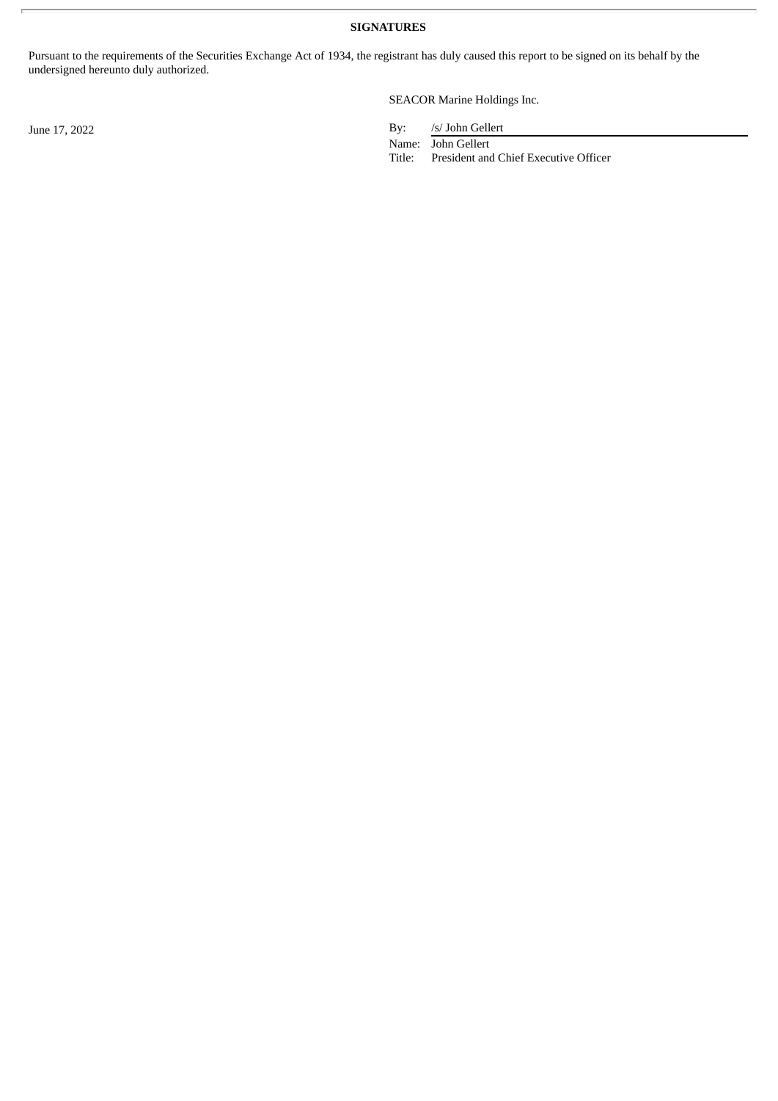**SIGNATURES**

Pursuant to the requirements of the Securities Exchange Act of 1934, the registrant has duly caused this report to be signed on its behalf by the undersigned hereunto duly authorized.

SEACOR Marine Holdings Inc.

June 17, 2022 By: */s/ John Gellert* 

Name: John Gellert

Title: President and Chief Executive Officer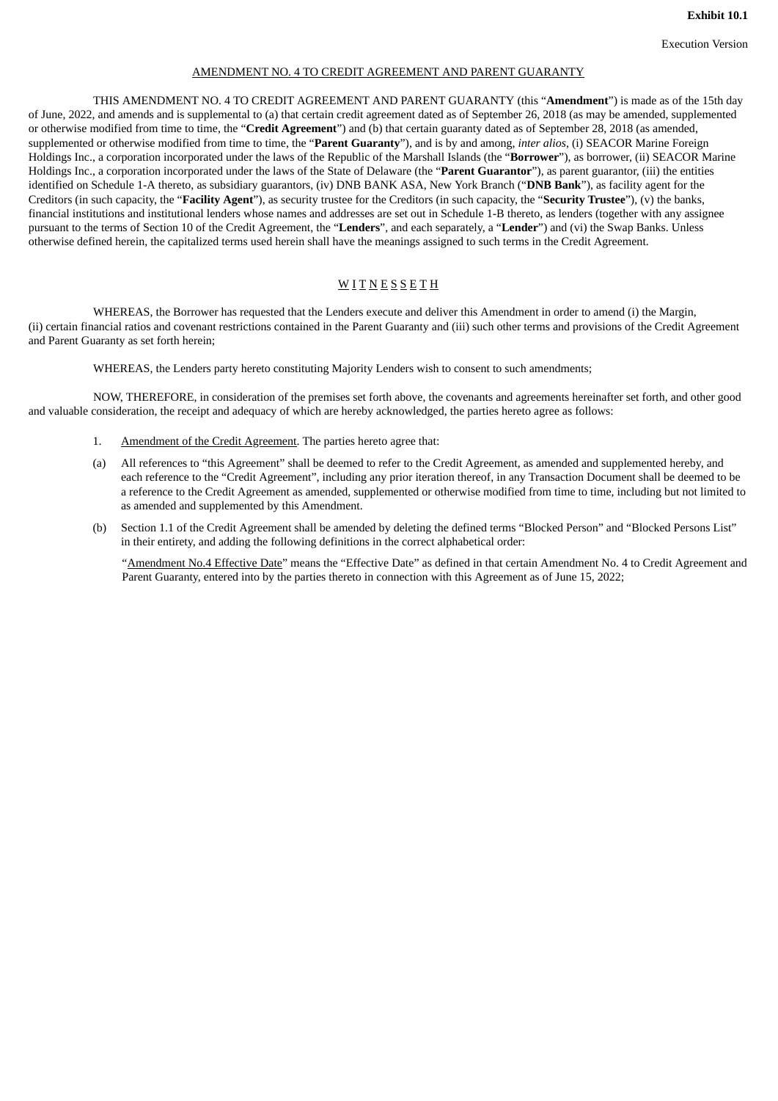#### AMENDMENT NO. 4 TO CREDIT AGREEMENT AND PARENT GUARANTY

<span id="page-3-0"></span>THIS AMENDMENT NO. 4 TO CREDIT AGREEMENT AND PARENT GUARANTY (this "**Amendment**") is made as of the 15th day of June, 2022, and amends and is supplemental to (a) that certain credit agreement dated as of September 26, 2018 (as may be amended, supplemented or otherwise modified from time to time, the "**Credit Agreement**") and (b) that certain guaranty dated as of September 28, 2018 (as amended, supplemented or otherwise modified from time to time, the "**Parent Guaranty**"), and is by and among, *inter alios*, (i) SEACOR Marine Foreign Holdings Inc., a corporation incorporated under the laws of the Republic of the Marshall Islands (the "**Borrower**"), as borrower, (ii) SEACOR Marine Holdings Inc., a corporation incorporated under the laws of the State of Delaware (the "**Parent Guarantor**"), as parent guarantor, (iii) the entities identified on Schedule 1-A thereto, as subsidiary guarantors, (iv) DNB BANK ASA, New York Branch ("**DNB Bank**"), as facility agent for the Creditors (in such capacity, the "**Facility Agent**"), as security trustee for the Creditors (in such capacity, the "**Security Trustee**"), (v) the banks, financial institutions and institutional lenders whose names and addresses are set out in Schedule 1-B thereto, as lenders (together with any assignee pursuant to the terms of Section 10 of the Credit Agreement, the "**Lenders**", and each separately, a "**Lender**") and (vi) the Swap Banks. Unless otherwise defined herein, the capitalized terms used herein shall have the meanings assigned to such terms in the Credit Agreement.

# **WITNESSETH**

WHEREAS, the Borrower has requested that the Lenders execute and deliver this Amendment in order to amend (i) the Margin, (ii) certain financial ratios and covenant restrictions contained in the Parent Guaranty and (iii) such other terms and provisions of the Credit Agreement and Parent Guaranty as set forth herein;

WHEREAS, the Lenders party hereto constituting Majority Lenders wish to consent to such amendments;

NOW, THEREFORE, in consideration of the premises set forth above, the covenants and agreements hereinafter set forth, and other good and valuable consideration, the receipt and adequacy of which are hereby acknowledged, the parties hereto agree as follows:

- 1. Amendment of the Credit Agreement. The parties hereto agree that:
- (a) All references to "this Agreement" shall be deemed to refer to the Credit Agreement, as amended and supplemented hereby, and each reference to the "Credit Agreement", including any prior iteration thereof, in any Transaction Document shall be deemed to be a reference to the Credit Agreement as amended, supplemented or otherwise modified from time to time, including but not limited to as amended and supplemented by this Amendment.
- (b) Section 1.1 of the Credit Agreement shall be amended by deleting the defined terms "Blocked Person" and "Blocked Persons List" in their entirety, and adding the following definitions in the correct alphabetical order:

"Amendment No.4 Effective Date" means the "Effective Date" as defined in that certain Amendment No. 4 to Credit Agreement and Parent Guaranty, entered into by the parties thereto in connection with this Agreement as of June 15, 2022;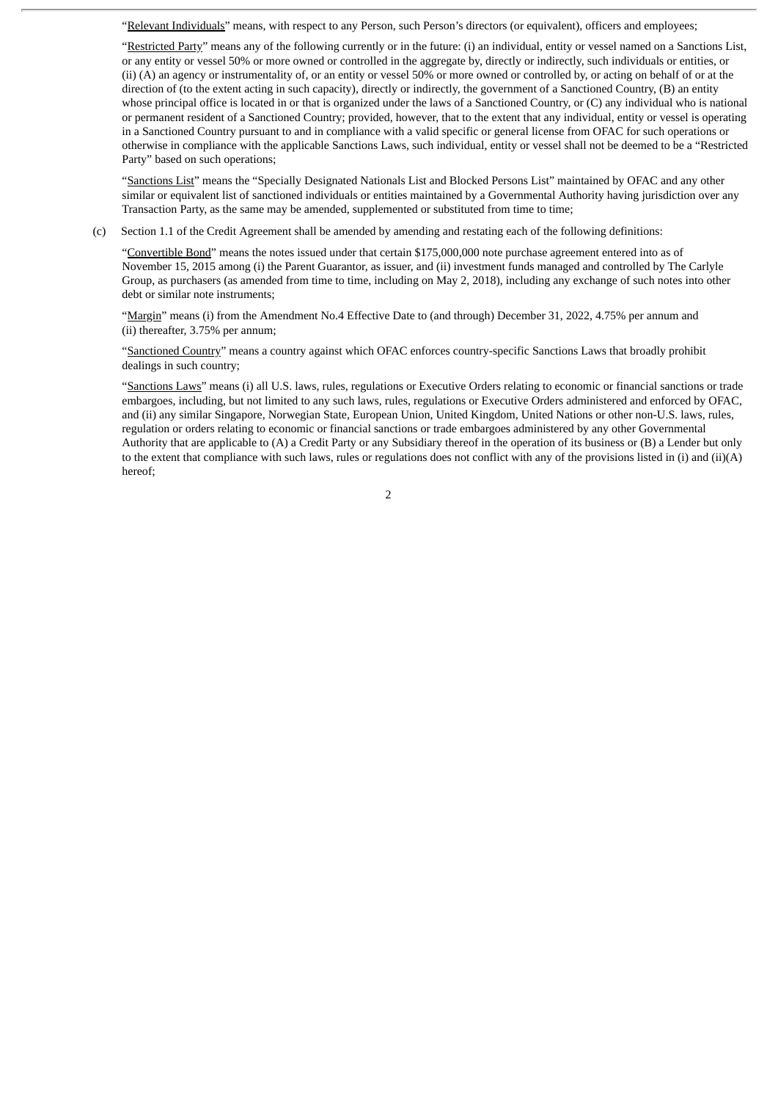"Relevant Individuals" means, with respect to any Person, such Person's directors (or equivalent), officers and employees;

"Restricted Party" means any of the following currently or in the future: (i) an individual, entity or vessel named on a Sanctions List, or any entity or vessel 50% or more owned or controlled in the aggregate by, directly or indirectly, such individuals or entities, or (ii) (A) an agency or instrumentality of, or an entity or vessel 50% or more owned or controlled by, or acting on behalf of or at the direction of (to the extent acting in such capacity), directly or indirectly, the government of a Sanctioned Country, (B) an entity whose principal office is located in or that is organized under the laws of a Sanctioned Country, or (C) any individual who is national or permanent resident of a Sanctioned Country; provided, however, that to the extent that any individual, entity or vessel is operating in a Sanctioned Country pursuant to and in compliance with a valid specific or general license from OFAC for such operations or otherwise in compliance with the applicable Sanctions Laws, such individual, entity or vessel shall not be deemed to be a "Restricted Party" based on such operations;

"Sanctions List" means the "Specially Designated Nationals List and Blocked Persons List" maintained by OFAC and any other similar or equivalent list of sanctioned individuals or entities maintained by a Governmental Authority having jurisdiction over any Transaction Party, as the same may be amended, supplemented or substituted from time to time;

(c) Section 1.1 of the Credit Agreement shall be amended by amending and restating each of the following definitions:

"Convertible Bond" means the notes issued under that certain \$175,000,000 note purchase agreement entered into as of November 15, 2015 among (i) the Parent Guarantor, as issuer, and (ii) investment funds managed and controlled by The Carlyle Group, as purchasers (as amended from time to time, including on May 2, 2018), including any exchange of such notes into other debt or similar note instruments;

"Margin" means (i) from the Amendment No.4 Effective Date to (and through) December 31, 2022, 4.75% per annum and (ii) thereafter, 3.75% per annum;

"Sanctioned Country" means a country against which OFAC enforces country-specific Sanctions Laws that broadly prohibit dealings in such country;

"Sanctions Laws" means (i) all U.S. laws, rules, regulations or Executive Orders relating to economic or financial sanctions or trade embargoes, including, but not limited to any such laws, rules, regulations or Executive Orders administered and enforced by OFAC, and (ii) any similar Singapore, Norwegian State, European Union, United Kingdom, United Nations or other non-U.S. laws, rules, regulation or orders relating to economic or financial sanctions or trade embargoes administered by any other Governmental Authority that are applicable to (A) a Credit Party or any Subsidiary thereof in the operation of its business or (B) a Lender but only to the extent that compliance with such laws, rules or regulations does not conflict with any of the provisions listed in (i) and (ii)(A) hereof;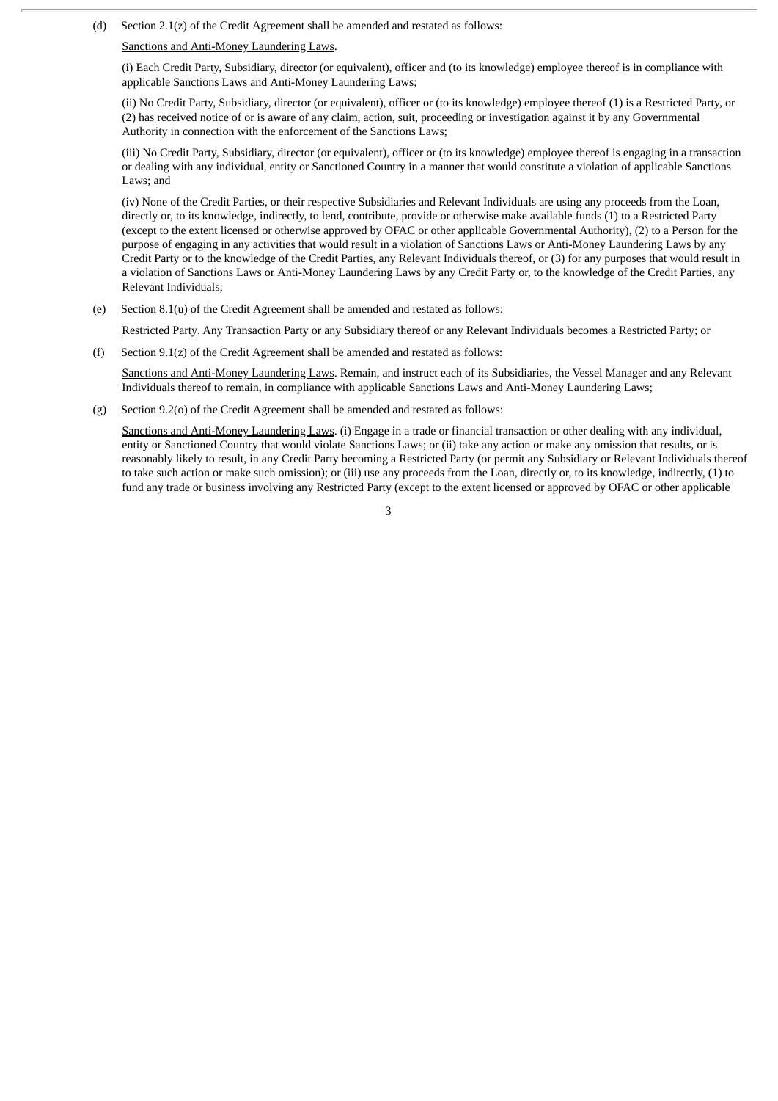(d) Section 2.1(z) of the Credit Agreement shall be amended and restated as follows:

#### Sanctions and Anti-Money Laundering Laws.

(i) Each Credit Party, Subsidiary, director (or equivalent), officer and (to its knowledge) employee thereof is in compliance with applicable Sanctions Laws and Anti-Money Laundering Laws;

(ii) No Credit Party, Subsidiary, director (or equivalent), officer or (to its knowledge) employee thereof (1) is a Restricted Party, or (2) has received notice of or is aware of any claim, action, suit, proceeding or investigation against it by any Governmental Authority in connection with the enforcement of the Sanctions Laws;

(iii) No Credit Party, Subsidiary, director (or equivalent), officer or (to its knowledge) employee thereof is engaging in a transaction or dealing with any individual, entity or Sanctioned Country in a manner that would constitute a violation of applicable Sanctions Laws; and

(iv) None of the Credit Parties, or their respective Subsidiaries and Relevant Individuals are using any proceeds from the Loan, directly or, to its knowledge, indirectly, to lend, contribute, provide or otherwise make available funds (1) to a Restricted Party (except to the extent licensed or otherwise approved by OFAC or other applicable Governmental Authority), (2) to a Person for the purpose of engaging in any activities that would result in a violation of Sanctions Laws or Anti-Money Laundering Laws by any Credit Party or to the knowledge of the Credit Parties, any Relevant Individuals thereof, or (3) for any purposes that would result in a violation of Sanctions Laws or Anti-Money Laundering Laws by any Credit Party or, to the knowledge of the Credit Parties, any Relevant Individuals;

(e) Section 8.1(u) of the Credit Agreement shall be amended and restated as follows:

Restricted Party. Any Transaction Party or any Subsidiary thereof or any Relevant Individuals becomes a Restricted Party; or

(f) Section 9.1(z) of the Credit Agreement shall be amended and restated as follows:

Sanctions and Anti-Money Laundering Laws. Remain, and instruct each of its Subsidiaries, the Vessel Manager and any Relevant Individuals thereof to remain, in compliance with applicable Sanctions Laws and Anti-Money Laundering Laws;

(g) Section 9.2(o) of the Credit Agreement shall be amended and restated as follows:

Sanctions and Anti-Money Laundering Laws. (i) Engage in a trade or financial transaction or other dealing with any individual, entity or Sanctioned Country that would violate Sanctions Laws; or (ii) take any action or make any omission that results, or is reasonably likely to result, in any Credit Party becoming a Restricted Party (or permit any Subsidiary or Relevant Individuals thereof to take such action or make such omission); or (iii) use any proceeds from the Loan, directly or, to its knowledge, indirectly, (1) to fund any trade or business involving any Restricted Party (except to the extent licensed or approved by OFAC or other applicable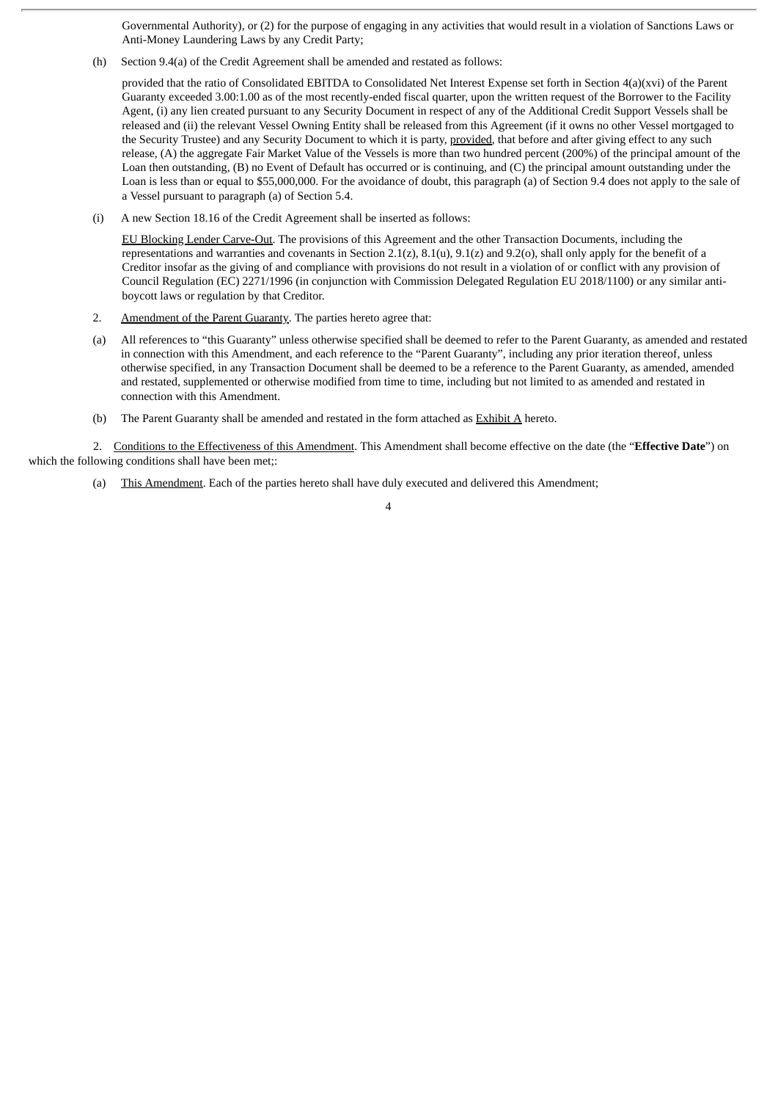Governmental Authority), or (2) for the purpose of engaging in any activities that would result in a violation of Sanctions Laws or Anti-Money Laundering Laws by any Credit Party;

(h) Section 9.4(a) of the Credit Agreement shall be amended and restated as follows:

provided that the ratio of Consolidated EBITDA to Consolidated Net Interest Expense set forth in Section 4(a)(xvi) of the Parent Guaranty exceeded 3.00:1.00 as of the most recently-ended fiscal quarter, upon the written request of the Borrower to the Facility Agent, (i) any lien created pursuant to any Security Document in respect of any of the Additional Credit Support Vessels shall be released and (ii) the relevant Vessel Owning Entity shall be released from this Agreement (if it owns no other Vessel mortgaged to the Security Trustee) and any Security Document to which it is party, provided, that before and after giving effect to any such release, (A) the aggregate Fair Market Value of the Vessels is more than two hundred percent (200%) of the principal amount of the Loan then outstanding, (B) no Event of Default has occurred or is continuing, and (C) the principal amount outstanding under the Loan is less than or equal to \$55,000,000. For the avoidance of doubt, this paragraph (a) of Section 9.4 does not apply to the sale of a Vessel pursuant to paragraph (a) of Section 5.4.

(i) A new Section 18.16 of the Credit Agreement shall be inserted as follows:

EU Blocking Lender Carve-Out. The provisions of this Agreement and the other Transaction Documents, including the representations and warranties and covenants in Section 2.1(z),  $8.1(u)$ ,  $9.1(z)$  and  $9.2(v)$ , shall only apply for the benefit of a Creditor insofar as the giving of and compliance with provisions do not result in a violation of or conflict with any provision of Council Regulation (EC) 2271/1996 (in conjunction with Commission Delegated Regulation EU 2018/1100) or any similar antiboycott laws or regulation by that Creditor.

- 2. Amendment of the Parent Guaranty. The parties hereto agree that:
- (a) All references to "this Guaranty" unless otherwise specified shall be deemed to refer to the Parent Guaranty, as amended and restated in connection with this Amendment, and each reference to the "Parent Guaranty", including any prior iteration thereof, unless otherwise specified, in any Transaction Document shall be deemed to be a reference to the Parent Guaranty, as amended, amended and restated, supplemented or otherwise modified from time to time, including but not limited to as amended and restated in connection with this Amendment.
- (b) The Parent Guaranty shall be amended and restated in the form attached as  $\frac{Exhibit A}{A}$  hereto.

2. Conditions to the Effectiveness of this Amendment. This Amendment shall become effective on the date (the "**Effective Date**") on which the following conditions shall have been met;:

(a) This Amendment. Each of the parties hereto shall have duly executed and delivered this Amendment;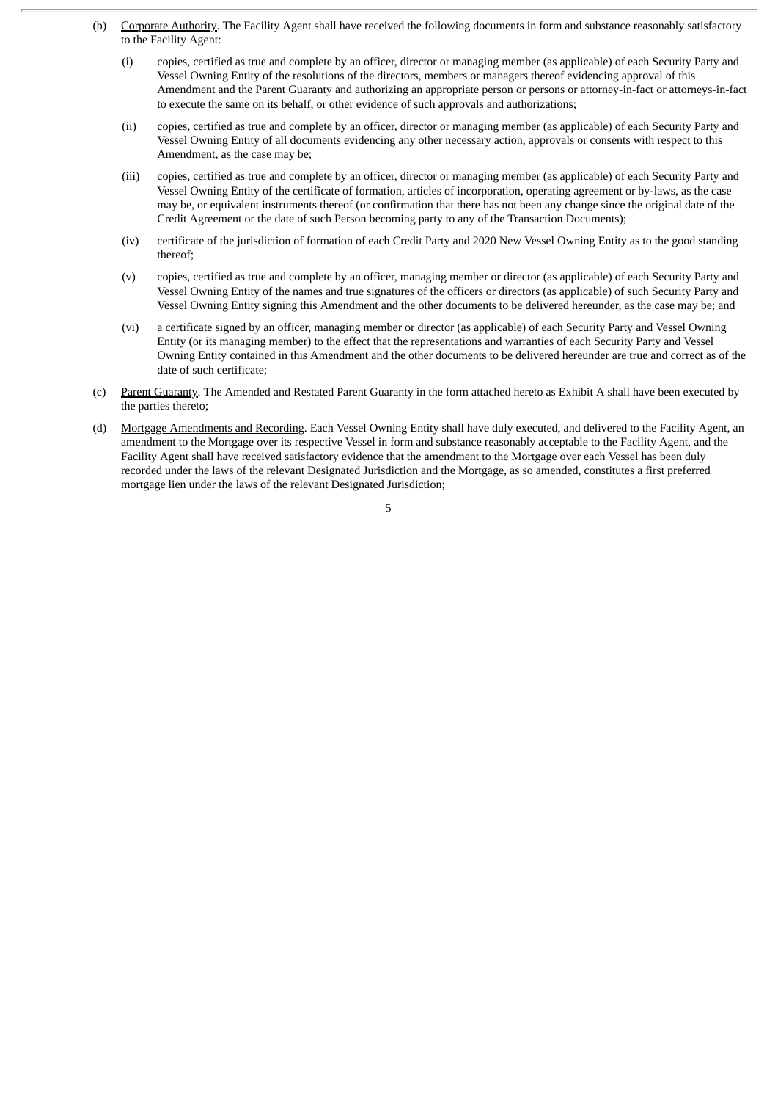- (b) Corporate Authority. The Facility Agent shall have received the following documents in form and substance reasonably satisfactory to the Facility Agent:
	- (i) copies, certified as true and complete by an officer, director or managing member (as applicable) of each Security Party and Vessel Owning Entity of the resolutions of the directors, members or managers thereof evidencing approval of this Amendment and the Parent Guaranty and authorizing an appropriate person or persons or attorney-in-fact or attorneys-in-fact to execute the same on its behalf, or other evidence of such approvals and authorizations;
	- (ii) copies, certified as true and complete by an officer, director or managing member (as applicable) of each Security Party and Vessel Owning Entity of all documents evidencing any other necessary action, approvals or consents with respect to this Amendment, as the case may be;
	- (iii) copies, certified as true and complete by an officer, director or managing member (as applicable) of each Security Party and Vessel Owning Entity of the certificate of formation, articles of incorporation, operating agreement or by-laws, as the case may be, or equivalent instruments thereof (or confirmation that there has not been any change since the original date of the Credit Agreement or the date of such Person becoming party to any of the Transaction Documents);
	- (iv) certificate of the jurisdiction of formation of each Credit Party and 2020 New Vessel Owning Entity as to the good standing thereof;
	- (v) copies, certified as true and complete by an officer, managing member or director (as applicable) of each Security Party and Vessel Owning Entity of the names and true signatures of the officers or directors (as applicable) of such Security Party and Vessel Owning Entity signing this Amendment and the other documents to be delivered hereunder, as the case may be; and
	- (vi) a certificate signed by an officer, managing member or director (as applicable) of each Security Party and Vessel Owning Entity (or its managing member) to the effect that the representations and warranties of each Security Party and Vessel Owning Entity contained in this Amendment and the other documents to be delivered hereunder are true and correct as of the date of such certificate;
- (c) Parent Guaranty. The Amended and Restated Parent Guaranty in the form attached hereto as Exhibit A shall have been executed by the parties thereto;
- (d) Mortgage Amendments and Recording. Each Vessel Owning Entity shall have duly executed, and delivered to the Facility Agent, an amendment to the Mortgage over its respective Vessel in form and substance reasonably acceptable to the Facility Agent, and the Facility Agent shall have received satisfactory evidence that the amendment to the Mortgage over each Vessel has been duly recorded under the laws of the relevant Designated Jurisdiction and the Mortgage, as so amended, constitutes a first preferred mortgage lien under the laws of the relevant Designated Jurisdiction;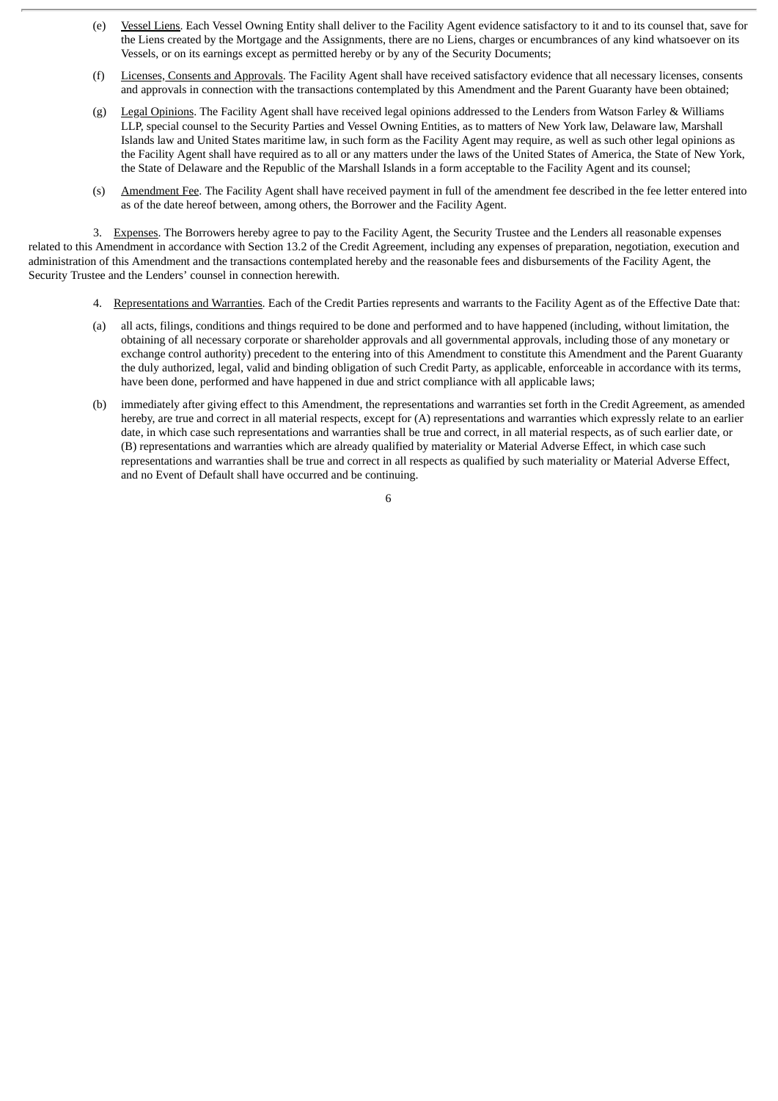- (e) Vessel Liens. Each Vessel Owning Entity shall deliver to the Facility Agent evidence satisfactory to it and to its counsel that, save for the Liens created by the Mortgage and the Assignments, there are no Liens, charges or encumbrances of any kind whatsoever on its Vessels, or on its earnings except as permitted hereby or by any of the Security Documents;
- (f) Licenses, Consents and Approvals. The Facility Agent shall have received satisfactory evidence that all necessary licenses, consents and approvals in connection with the transactions contemplated by this Amendment and the Parent Guaranty have been obtained;
- (g) Legal Opinions. The Facility Agent shall have received legal opinions addressed to the Lenders from Watson Farley & Williams LLP, special counsel to the Security Parties and Vessel Owning Entities, as to matters of New York law, Delaware law, Marshall Islands law and United States maritime law, in such form as the Facility Agent may require, as well as such other legal opinions as the Facility Agent shall have required as to all or any matters under the laws of the United States of America, the State of New York, the State of Delaware and the Republic of the Marshall Islands in a form acceptable to the Facility Agent and its counsel;
- (s) Amendment Fee. The Facility Agent shall have received payment in full of the amendment fee described in the fee letter entered into as of the date hereof between, among others, the Borrower and the Facility Agent.

3. Expenses. The Borrowers hereby agree to pay to the Facility Agent, the Security Trustee and the Lenders all reasonable expenses related to this Amendment in accordance with Section 13.2 of the Credit Agreement, including any expenses of preparation, negotiation, execution and administration of this Amendment and the transactions contemplated hereby and the reasonable fees and disbursements of the Facility Agent, the Security Trustee and the Lenders' counsel in connection herewith.

- 4. Representations and Warranties. Each of the Credit Parties represents and warrants to the Facility Agent as of the Effective Date that:
- (a) all acts, filings, conditions and things required to be done and performed and to have happened (including, without limitation, the obtaining of all necessary corporate or shareholder approvals and all governmental approvals, including those of any monetary or exchange control authority) precedent to the entering into of this Amendment to constitute this Amendment and the Parent Guaranty the duly authorized, legal, valid and binding obligation of such Credit Party, as applicable, enforceable in accordance with its terms, have been done, performed and have happened in due and strict compliance with all applicable laws;
- (b) immediately after giving effect to this Amendment, the representations and warranties set forth in the Credit Agreement, as amended hereby, are true and correct in all material respects, except for (A) representations and warranties which expressly relate to an earlier date, in which case such representations and warranties shall be true and correct, in all material respects, as of such earlier date, or (B) representations and warranties which are already qualified by materiality or Material Adverse Effect, in which case such representations and warranties shall be true and correct in all respects as qualified by such materiality or Material Adverse Effect, and no Event of Default shall have occurred and be continuing.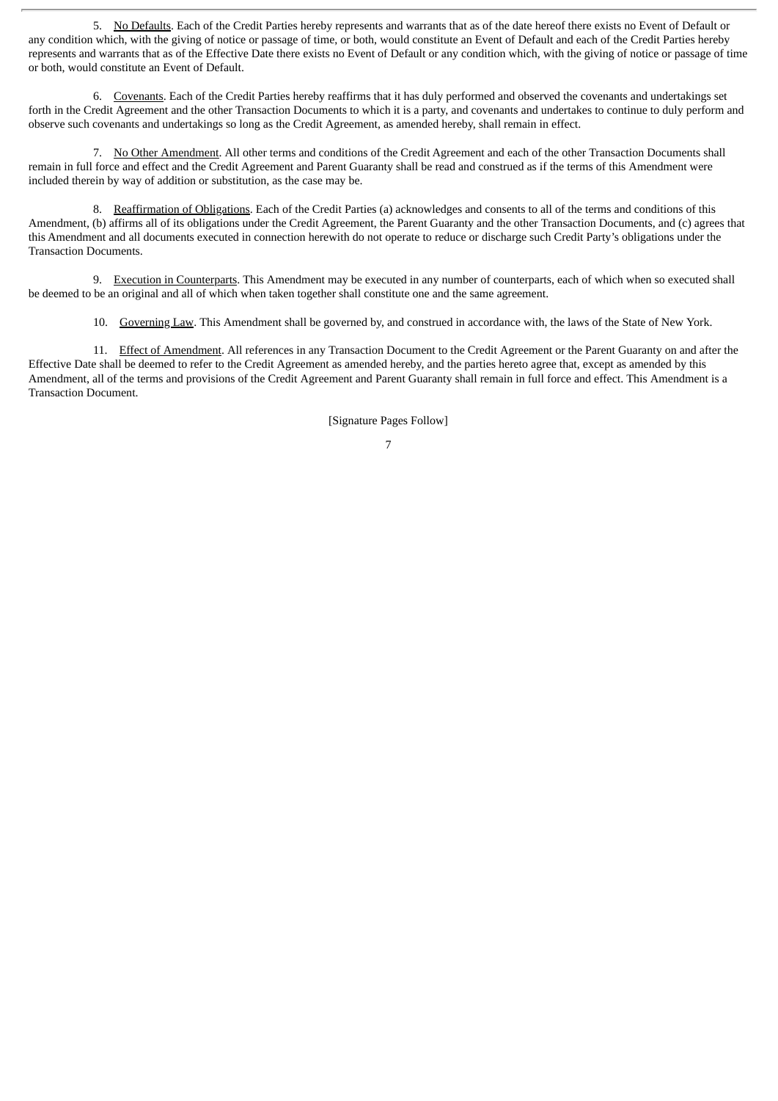5. No Defaults. Each of the Credit Parties hereby represents and warrants that as of the date hereof there exists no Event of Default or any condition which, with the giving of notice or passage of time, or both, would constitute an Event of Default and each of the Credit Parties hereby represents and warrants that as of the Effective Date there exists no Event of Default or any condition which, with the giving of notice or passage of time or both, would constitute an Event of Default.

6. Covenants. Each of the Credit Parties hereby reaffirms that it has duly performed and observed the covenants and undertakings set forth in the Credit Agreement and the other Transaction Documents to which it is a party, and covenants and undertakes to continue to duly perform and observe such covenants and undertakings so long as the Credit Agreement, as amended hereby, shall remain in effect.

7. No Other Amendment. All other terms and conditions of the Credit Agreement and each of the other Transaction Documents shall remain in full force and effect and the Credit Agreement and Parent Guaranty shall be read and construed as if the terms of this Amendment were included therein by way of addition or substitution, as the case may be.

8. Reaffirmation of Obligations. Each of the Credit Parties (a) acknowledges and consents to all of the terms and conditions of this Amendment, (b) affirms all of its obligations under the Credit Agreement, the Parent Guaranty and the other Transaction Documents, and (c) agrees that this Amendment and all documents executed in connection herewith do not operate to reduce or discharge such Credit Party's obligations under the Transaction Documents.

9. Execution in Counterparts. This Amendment may be executed in any number of counterparts, each of which when so executed shall be deemed to be an original and all of which when taken together shall constitute one and the same agreement.

10. Governing Law. This Amendment shall be governed by, and construed in accordance with, the laws of the State of New York.

11. Effect of Amendment. All references in any Transaction Document to the Credit Agreement or the Parent Guaranty on and after the Effective Date shall be deemed to refer to the Credit Agreement as amended hereby, and the parties hereto agree that, except as amended by this Amendment, all of the terms and provisions of the Credit Agreement and Parent Guaranty shall remain in full force and effect. This Amendment is a Transaction Document.

[Signature Pages Follow]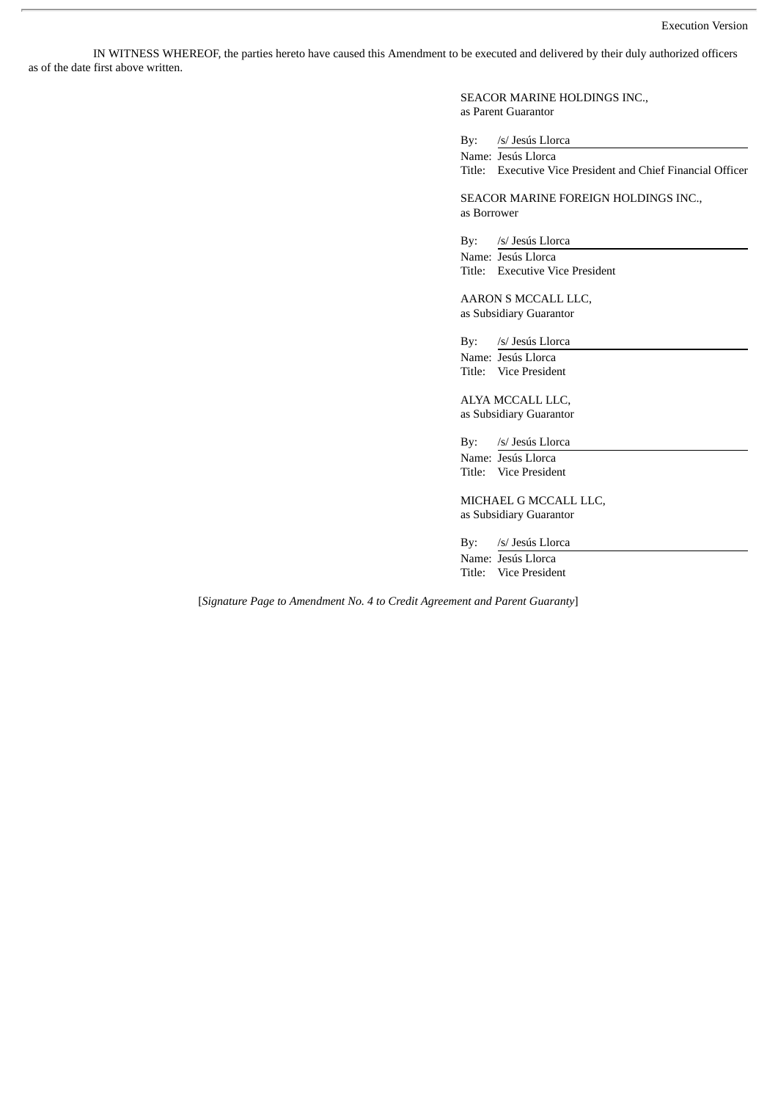IN WITNESS WHEREOF, the parties hereto have caused this Amendment to be executed and delivered by their duly authorized officers as of the date first above written.

> SEACOR MARINE HOLDINGS INC., as Parent Guarantor

By: /s/ Jesús Llorca

Name: Jesús Llorca Title: Executive Vice President and Chief Financial Officer

SEACOR MARINE FOREIGN HOLDINGS INC., as Borrower

By: /s/ Jesús Llorca

Name: Jesús Llorca Title: Executive Vice President

AARON S MCCALL LLC, as Subsidiary Guarantor

By: /s/ Jesús Llorca Name: Jesús Llorca Title: Vice President

ALYA MCCALL LLC, as Subsidiary Guarantor

By: /s/ Jesús Llorca Name: Jesús Llorca Title: Vice President

MICHAEL G MCCALL LLC, as Subsidiary Guarantor

By: /s/ Jesús Llorca Name: Jesús Llorca Title: Vice President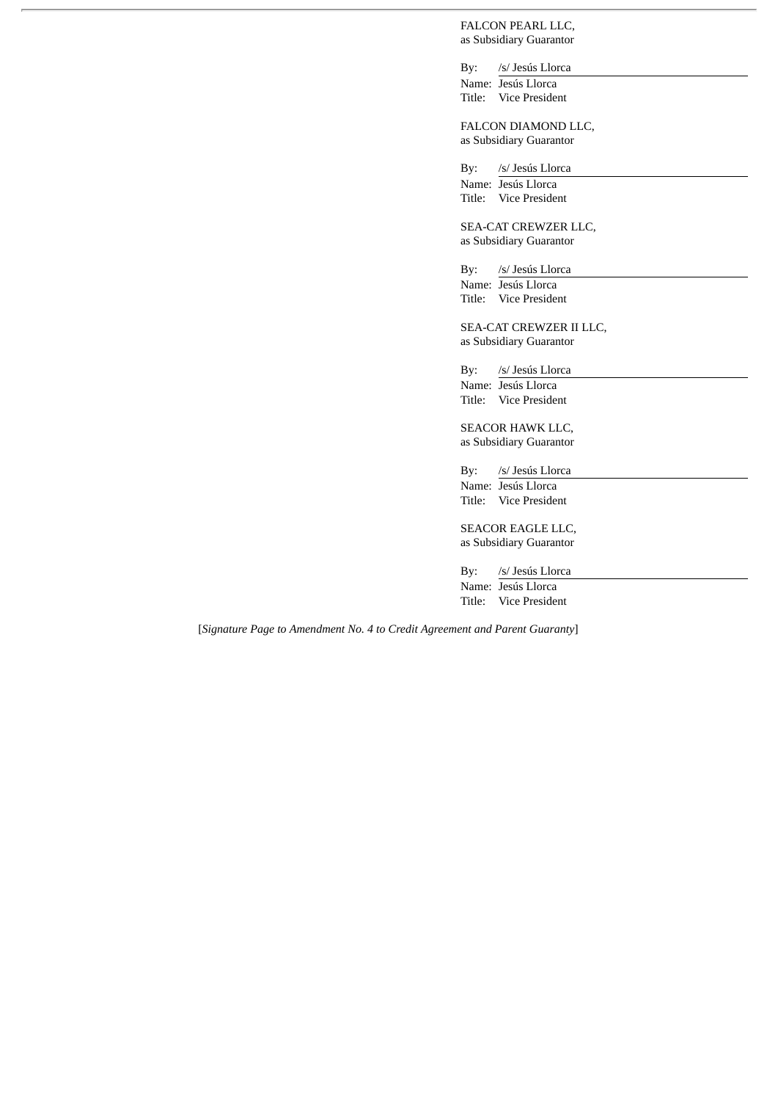FALCON PEARL LLC, as Subsidiary Guarantor

By: /s/ Jesús Llorca Name: Jesús Llorca Title: Vice President

FALCON DIAMOND LLC, as Subsidiary Guarantor

By: /s/ Jesús Llorca Name: Jesús Llorca Title: Vice President

SEA-CAT CREWZER LLC, as Subsidiary Guarantor

By: /s/ Jesús Llorca Name: Jesús Llorca Title: Vice President

SEA-CAT CREWZER II LLC, as Subsidiary Guarantor

By: /s/ Jesús Llorca

Name: Jesús Llorca Title: Vice President

SEACOR HAWK LLC, as Subsidiary Guarantor

By: /s/ Jesús Llorca Name: Jesús Llorca Title: Vice President

SEACOR EAGLE LLC, as Subsidiary Guarantor

By: /s/ Jesús Llorca Name: Jesús Llorca

Title: Vice President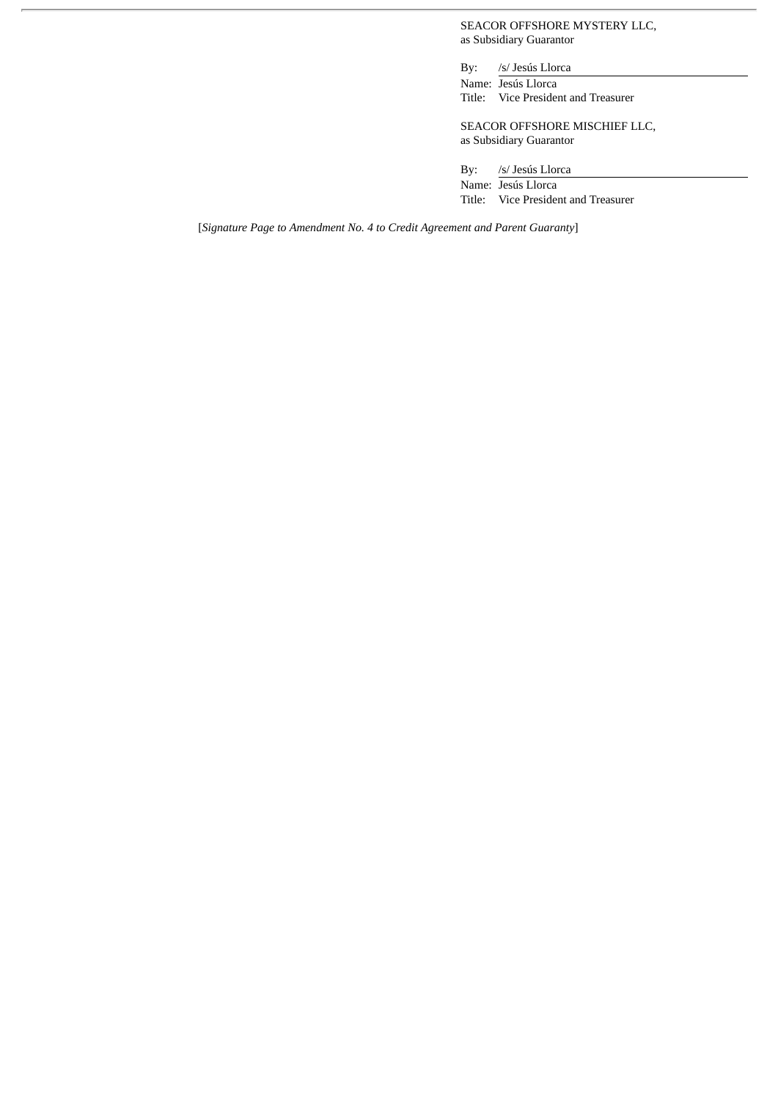SEACOR OFFSHORE MYSTERY LLC, as Subsidiary Guarantor

By: /s/ Jesús Llorca Name: Jesús Llorca Title: Vice President and Treasurer

SEACOR OFFSHORE MISCHIEF LLC, as Subsidiary Guarantor

By: /s/ Jesús Llorca Name: Jesús Llorca Title: Vice President and Treasurer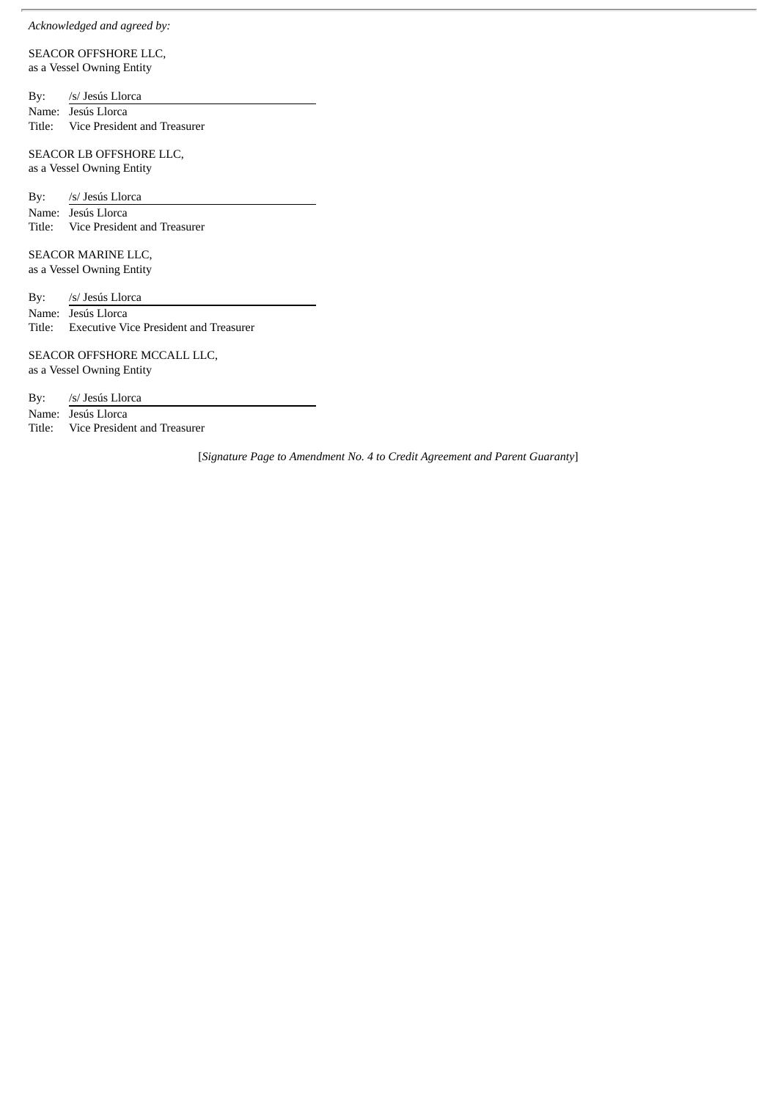#### *Acknowledged and agreed by:*

SEACOR OFFSHORE LLC, as a Vessel Owning Entity

By: /s/ Jesús Llorca Name: Jesús Llorca Title: Vice President and Treasurer

SEACOR LB OFFSHORE LLC, as a Vessel Owning Entity

By: /s/ Jesús Llorca Name: Jesús Llorca Title: Vice President and Treasurer

SEACOR MARINE LLC, as a Vessel Owning Entity

By: /s/ Jesús Llorca Name: Jesús Llorca Title: Executive Vice President and Treasurer

SEACOR OFFSHORE MCCALL LLC, as a Vessel Owning Entity

By: /s/ Jesús Llorca

Name: Jesús Llorca Title: Vice President and Treasurer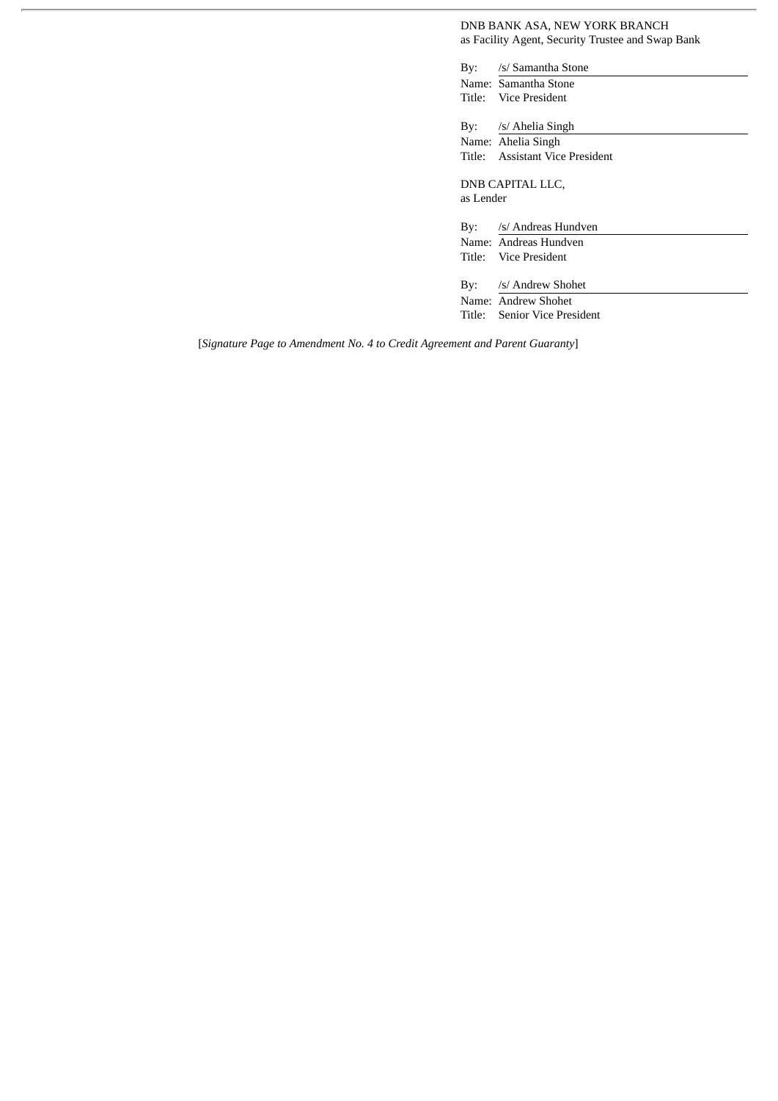DNB BANK ASA, NEW YORK BRANCH as Facility Agent, Security Trustee and Swap Bank

By: /s/ Samantha Stone Name: Samantha Stone Title: Vice President

By: /s/ Ahelia Singh Name: Ahelia Singh Title: Assistant Vice President

DNB CAPITAL LLC, as Lender

By: /s/ Andreas Hundven

Name: Andreas Hundven Title: Vice President

By: /s/ Andrew Shohet Name: Andrew Shohet

Title: Senior Vice President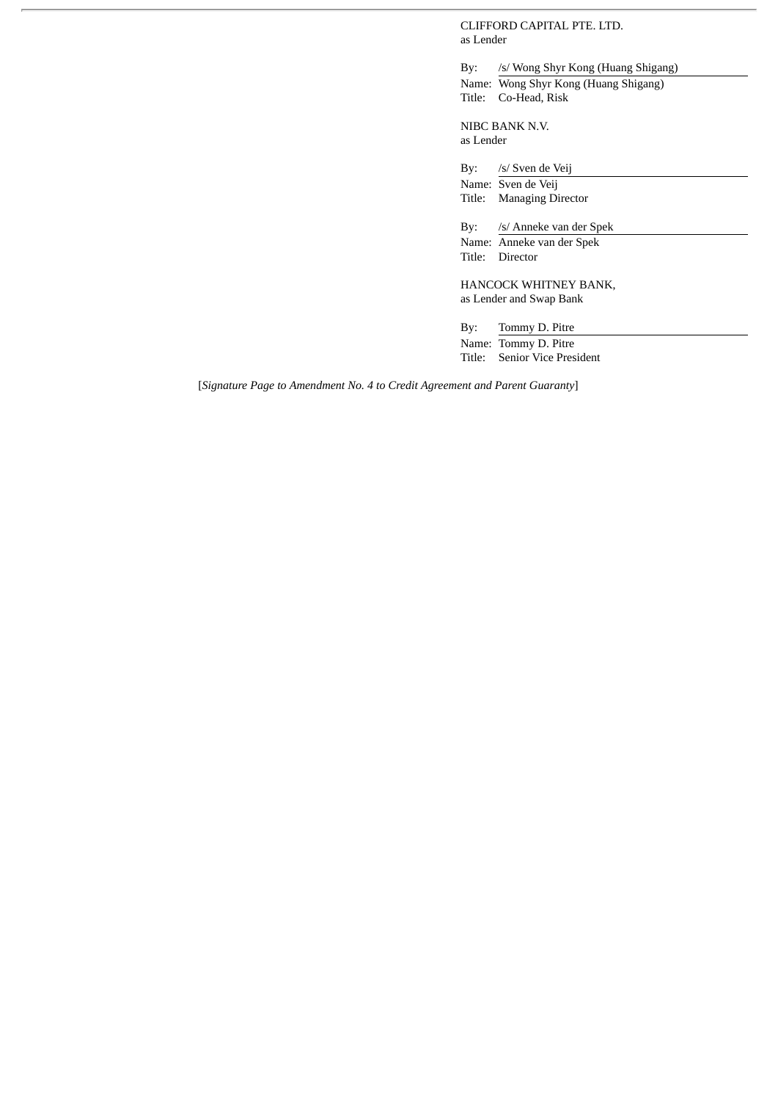CLIFFORD CAPITAL PTE. LTD. as Lender

By: /s/ Wong Shyr Kong (Huang Shigang) Name: Wong Shyr Kong (Huang Shigang) Title: Co-Head, Risk

NIBC BANK N.V. as Lender

By: /s/ Sven de Veij Name: Sven de Veij Title: Managing Director By: /s/ Anneke van der Spek

Name: Anneke van der Spek Title: Director

HANCOCK WHITNEY BANK, as Lender and Swap Bank

By: Tommy D. Pitre Name: Tommy D. Pitre Title: Senior Vice President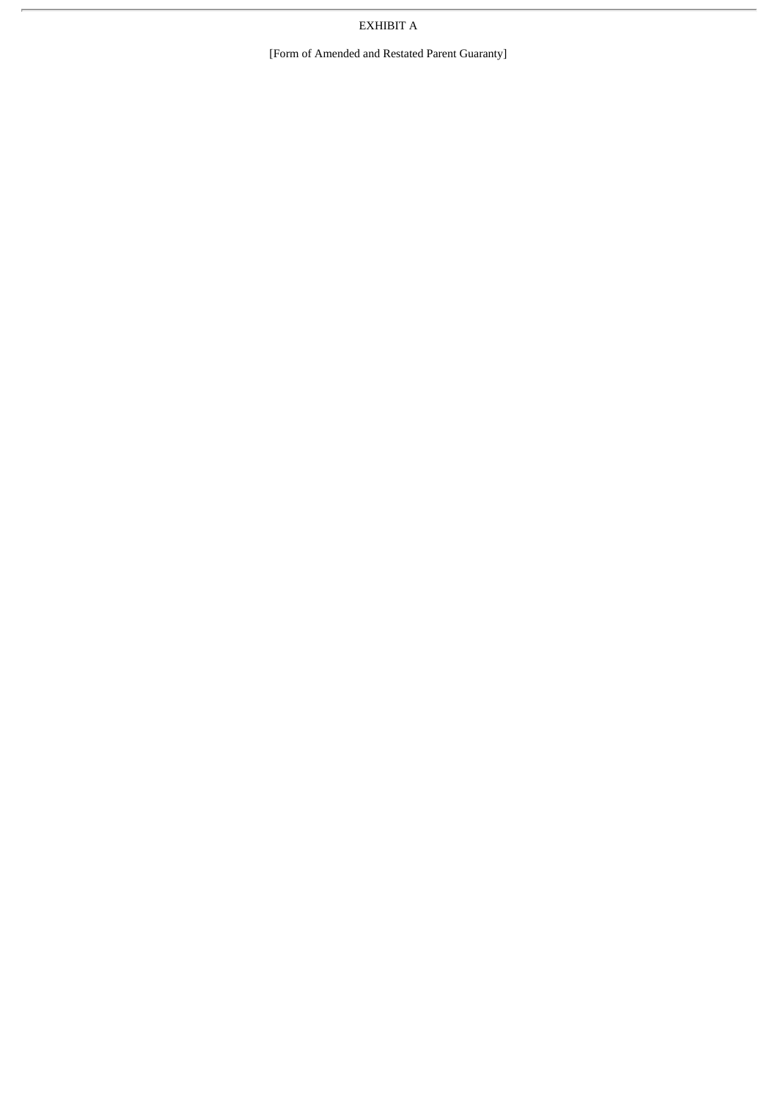EXHIBIT A

[Form of Amended and Restated Parent Guaranty]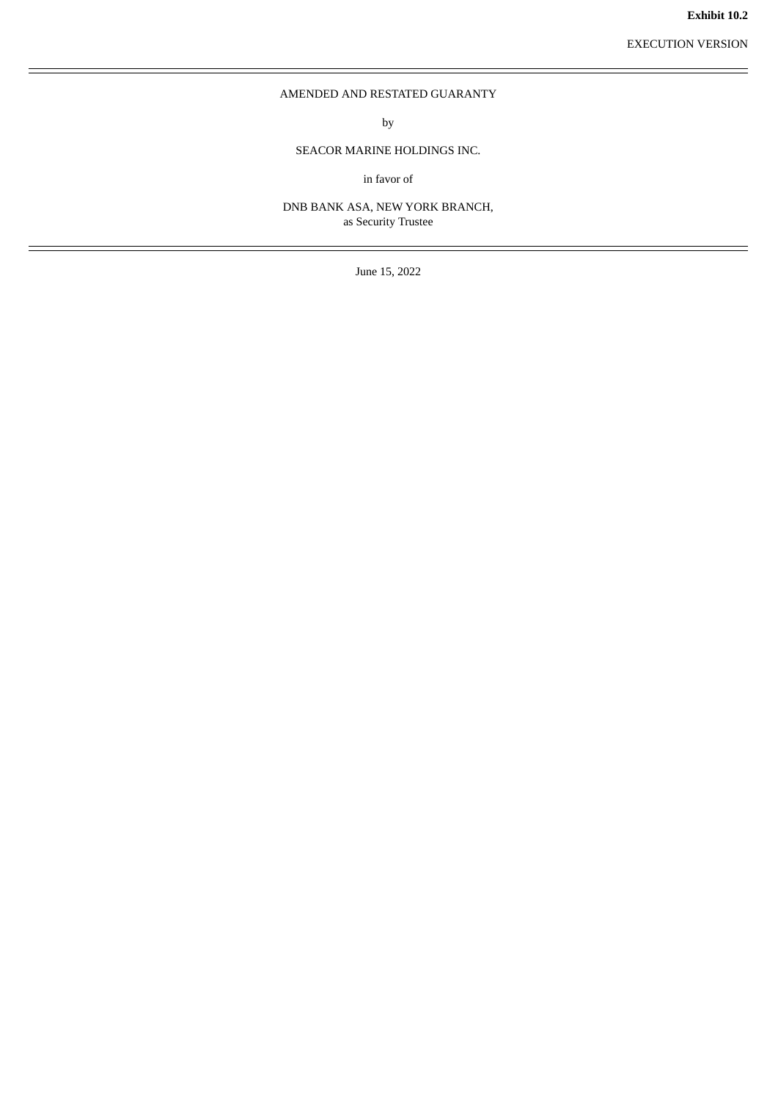EXECUTION VERSION

# <span id="page-17-0"></span>AMENDED AND RESTATED GUARANTY

by

# SEACOR MARINE HOLDINGS INC.

in favor of

DNB BANK ASA, NEW YORK BRANCH, as Security Trustee

June 15, 2022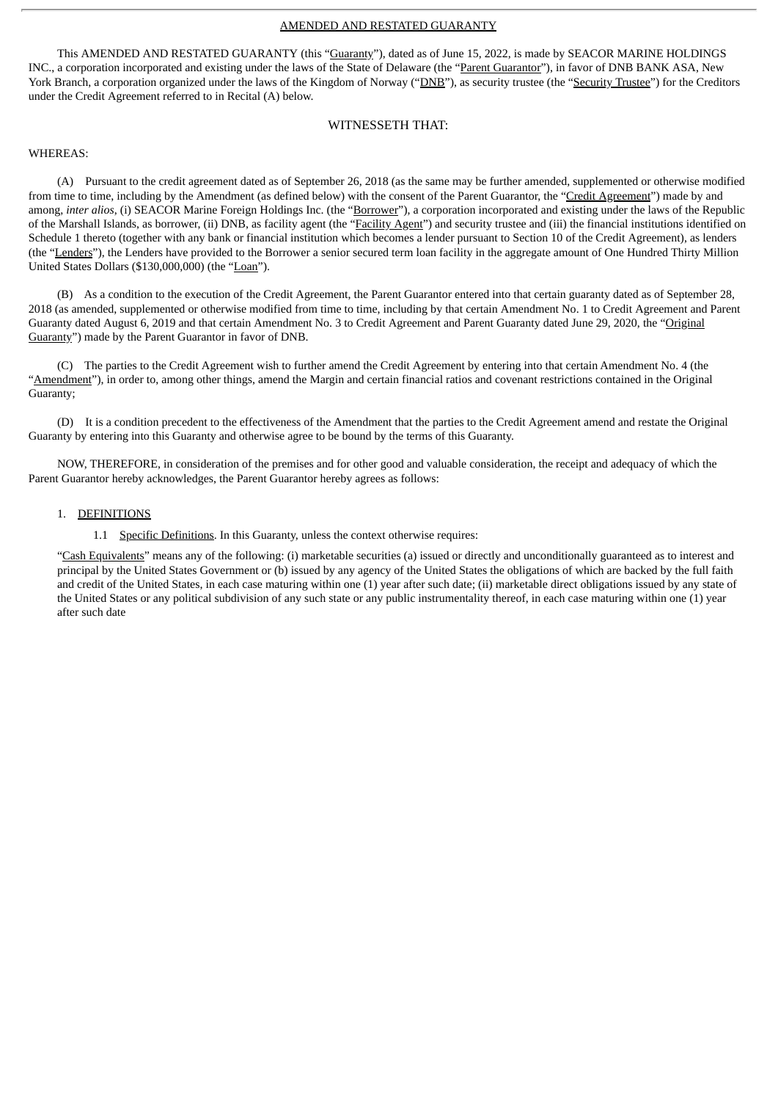#### AMENDED AND RESTATED GUARANTY

This AMENDED AND RESTATED GUARANTY (this "Guaranty"), dated as of June 15, 2022, is made by SEACOR MARINE HOLDINGS INC., a corporation incorporated and existing under the laws of the State of Delaware (the "Parent Guarantor"), in favor of DNB BANK ASA, New York Branch, a corporation organized under the laws of the Kingdom of Norway ("DNB"), as security trustee (the "Security Trustee") for the Creditors under the Credit Agreement referred to in Recital (A) below.

## WITNESSETH THAT:

#### WHEREAS:

(A) Pursuant to the credit agreement dated as of September 26, 2018 (as the same may be further amended, supplemented or otherwise modified from time to time, including by the Amendment (as defined below) with the consent of the Parent Guarantor, the "Credit Agreement") made by and among, *inter alios*, (i) SEACOR Marine Foreign Holdings Inc. (the "Borrower"), a corporation incorporated and existing under the laws of the Republic of the Marshall Islands, as borrower, (ii) DNB, as facility agent (the "Facility Agent") and security trustee and (iii) the financial institutions identified on Schedule 1 thereto (together with any bank or financial institution which becomes a lender pursuant to Section 10 of the Credit Agreement), as lenders (the "Lenders"), the Lenders have provided to the Borrower a senior secured term loan facility in the aggregate amount of One Hundred Thirty Million United States Dollars (\$130,000,000) (the "Loan").

(B) As a condition to the execution of the Credit Agreement, the Parent Guarantor entered into that certain guaranty dated as of September 28, 2018 (as amended, supplemented or otherwise modified from time to time, including by that certain Amendment No. 1 to Credit Agreement and Parent Guaranty dated August 6, 2019 and that certain Amendment No. 3 to Credit Agreement and Parent Guaranty dated June 29, 2020, the "Original Guaranty") made by the Parent Guarantor in favor of DNB.

(C) The parties to the Credit Agreement wish to further amend the Credit Agreement by entering into that certain Amendment No. 4 (the "Amendment"), in order to, among other things, amend the Margin and certain financial ratios and covenant restrictions contained in the Original Guaranty;

(D) It is a condition precedent to the effectiveness of the Amendment that the parties to the Credit Agreement amend and restate the Original Guaranty by entering into this Guaranty and otherwise agree to be bound by the terms of this Guaranty.

NOW, THEREFORE, in consideration of the premises and for other good and valuable consideration, the receipt and adequacy of which the Parent Guarantor hereby acknowledges, the Parent Guarantor hereby agrees as follows:

#### 1. DEFINITIONS

1.1 Specific Definitions. In this Guaranty, unless the context otherwise requires:

"Cash Equivalents" means any of the following: (i) marketable securities (a) issued or directly and unconditionally guaranteed as to interest and principal by the United States Government or (b) issued by any agency of the United States the obligations of which are backed by the full faith and credit of the United States, in each case maturing within one (1) year after such date; (ii) marketable direct obligations issued by any state of the United States or any political subdivision of any such state or any public instrumentality thereof, in each case maturing within one (1) year after such date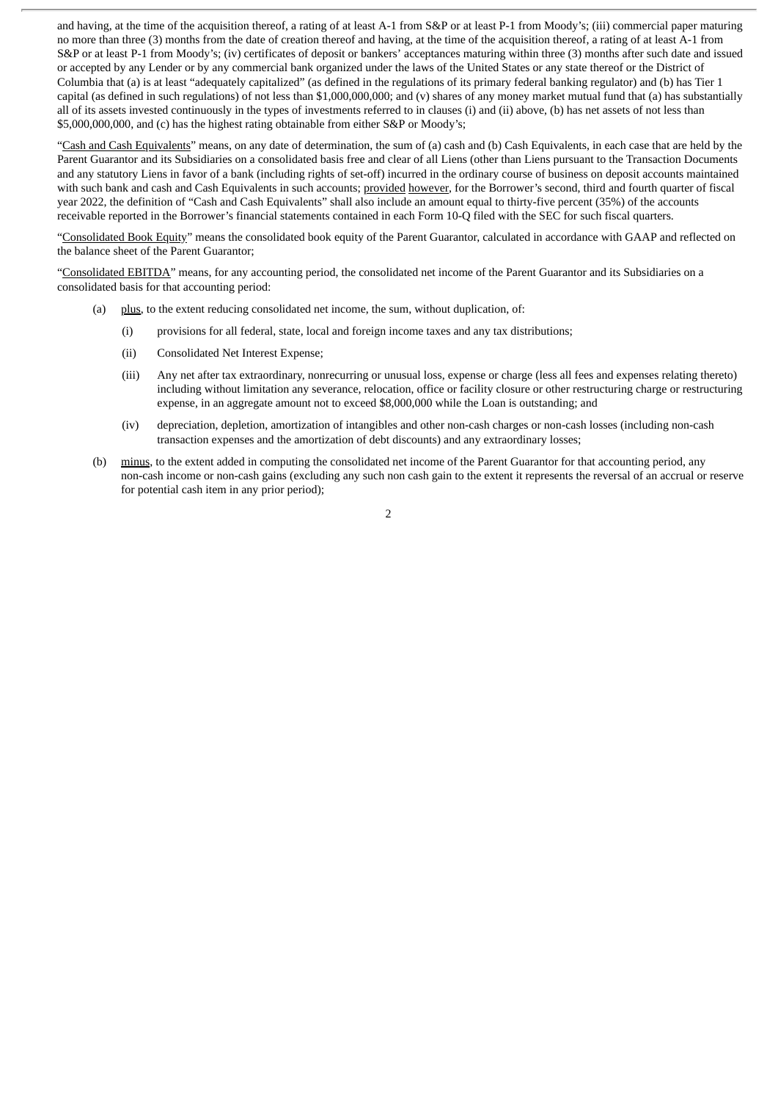and having, at the time of the acquisition thereof, a rating of at least A-1 from S&P or at least P-1 from Moody's; (iii) commercial paper maturing no more than three (3) months from the date of creation thereof and having, at the time of the acquisition thereof, a rating of at least A-1 from S&P or at least P-1 from Moody's; (iv) certificates of deposit or bankers' acceptances maturing within three (3) months after such date and issued or accepted by any Lender or by any commercial bank organized under the laws of the United States or any state thereof or the District of Columbia that (a) is at least "adequately capitalized" (as defined in the regulations of its primary federal banking regulator) and (b) has Tier 1 capital (as defined in such regulations) of not less than \$1,000,000,000; and (v) shares of any money market mutual fund that (a) has substantially all of its assets invested continuously in the types of investments referred to in clauses (i) and (ii) above, (b) has net assets of not less than \$5,000,000,000, and (c) has the highest rating obtainable from either S&P or Moody's;

"Cash and Cash Equivalents" means, on any date of determination, the sum of (a) cash and (b) Cash Equivalents, in each case that are held by the Parent Guarantor and its Subsidiaries on a consolidated basis free and clear of all Liens (other than Liens pursuant to the Transaction Documents and any statutory Liens in favor of a bank (including rights of set-off) incurred in the ordinary course of business on deposit accounts maintained with such bank and cash and Cash Equivalents in such accounts; provided however, for the Borrower's second, third and fourth quarter of fiscal year 2022, the definition of "Cash and Cash Equivalents" shall also include an amount equal to thirty-five percent (35%) of the accounts receivable reported in the Borrower's financial statements contained in each Form 10-Q filed with the SEC for such fiscal quarters.

"Consolidated Book Equity" means the consolidated book equity of the Parent Guarantor, calculated in accordance with GAAP and reflected on the balance sheet of the Parent Guarantor;

"Consolidated EBITDA" means, for any accounting period, the consolidated net income of the Parent Guarantor and its Subsidiaries on a consolidated basis for that accounting period:

- (a) plus, to the extent reducing consolidated net income, the sum, without duplication, of:
	- (i) provisions for all federal, state, local and foreign income taxes and any tax distributions;
	- (ii) Consolidated Net Interest Expense;
	- (iii) Any net after tax extraordinary, nonrecurring or unusual loss, expense or charge (less all fees and expenses relating thereto) including without limitation any severance, relocation, office or facility closure or other restructuring charge or restructuring expense, in an aggregate amount not to exceed \$8,000,000 while the Loan is outstanding; and
	- (iv) depreciation, depletion, amortization of intangibles and other non-cash charges or non-cash losses (including non-cash transaction expenses and the amortization of debt discounts) and any extraordinary losses;
- (b) minus, to the extent added in computing the consolidated net income of the Parent Guarantor for that accounting period, any non-cash income or non-cash gains (excluding any such non cash gain to the extent it represents the reversal of an accrual or reserve for potential cash item in any prior period);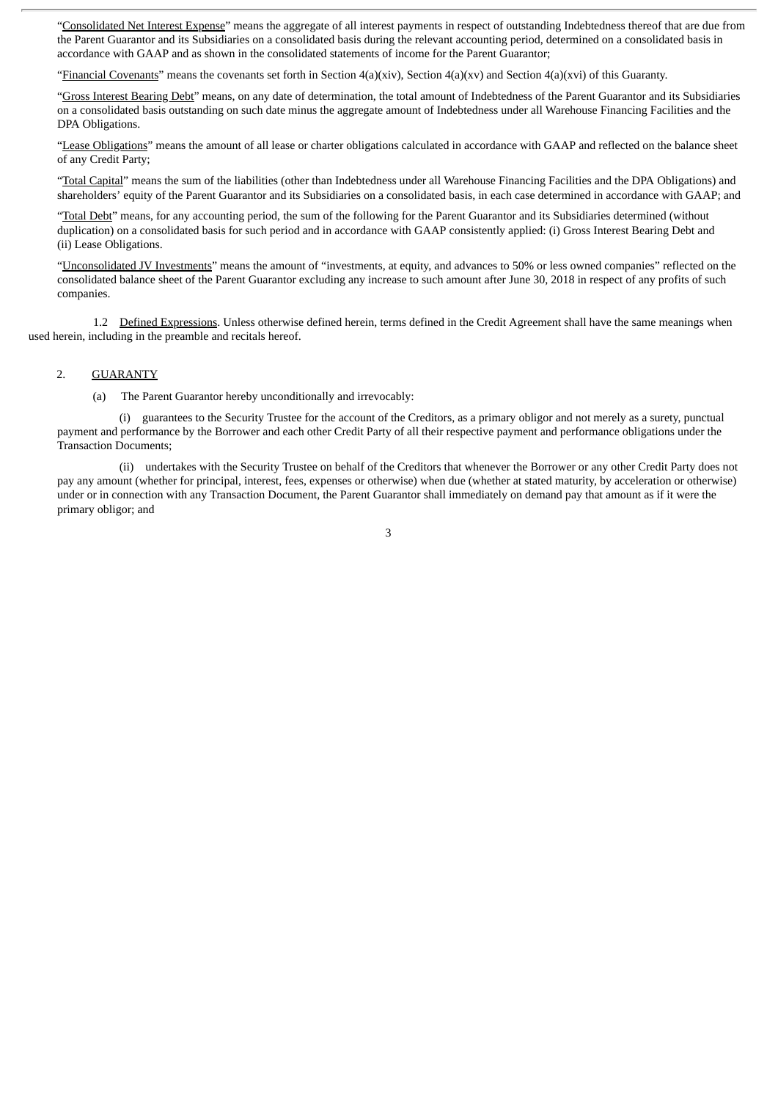"Consolidated Net Interest Expense" means the aggregate of all interest payments in respect of outstanding Indebtedness thereof that are due from the Parent Guarantor and its Subsidiaries on a consolidated basis during the relevant accounting period, determined on a consolidated basis in accordance with GAAP and as shown in the consolidated statements of income for the Parent Guarantor;

"Financial Covenants" means the covenants set forth in Section 4(a)(xiv), Section 4(a)(xv) and Section 4(a)(xvi) of this Guaranty.

"Gross Interest Bearing Debt" means, on any date of determination, the total amount of Indebtedness of the Parent Guarantor and its Subsidiaries on a consolidated basis outstanding on such date minus the aggregate amount of Indebtedness under all Warehouse Financing Facilities and the DPA Obligations.

"Lease Obligations" means the amount of all lease or charter obligations calculated in accordance with GAAP and reflected on the balance sheet of any Credit Party;

"Total Capital" means the sum of the liabilities (other than Indebtedness under all Warehouse Financing Facilities and the DPA Obligations) and shareholders' equity of the Parent Guarantor and its Subsidiaries on a consolidated basis, in each case determined in accordance with GAAP; and

"Total Debt" means, for any accounting period, the sum of the following for the Parent Guarantor and its Subsidiaries determined (without duplication) on a consolidated basis for such period and in accordance with GAAP consistently applied: (i) Gross Interest Bearing Debt and (ii) Lease Obligations.

"Unconsolidated JV Investments" means the amount of "investments, at equity, and advances to 50% or less owned companies" reflected on the consolidated balance sheet of the Parent Guarantor excluding any increase to such amount after June 30, 2018 in respect of any profits of such companies.

1.2 Defined Expressions. Unless otherwise defined herein, terms defined in the Credit Agreement shall have the same meanings when used herein, including in the preamble and recitals hereof.

#### 2. GUARANTY

(a) The Parent Guarantor hereby unconditionally and irrevocably:

(i) guarantees to the Security Trustee for the account of the Creditors, as a primary obligor and not merely as a surety, punctual payment and performance by the Borrower and each other Credit Party of all their respective payment and performance obligations under the Transaction Documents;

(ii) undertakes with the Security Trustee on behalf of the Creditors that whenever the Borrower or any other Credit Party does not pay any amount (whether for principal, interest, fees, expenses or otherwise) when due (whether at stated maturity, by acceleration or otherwise) under or in connection with any Transaction Document, the Parent Guarantor shall immediately on demand pay that amount as if it were the primary obligor; and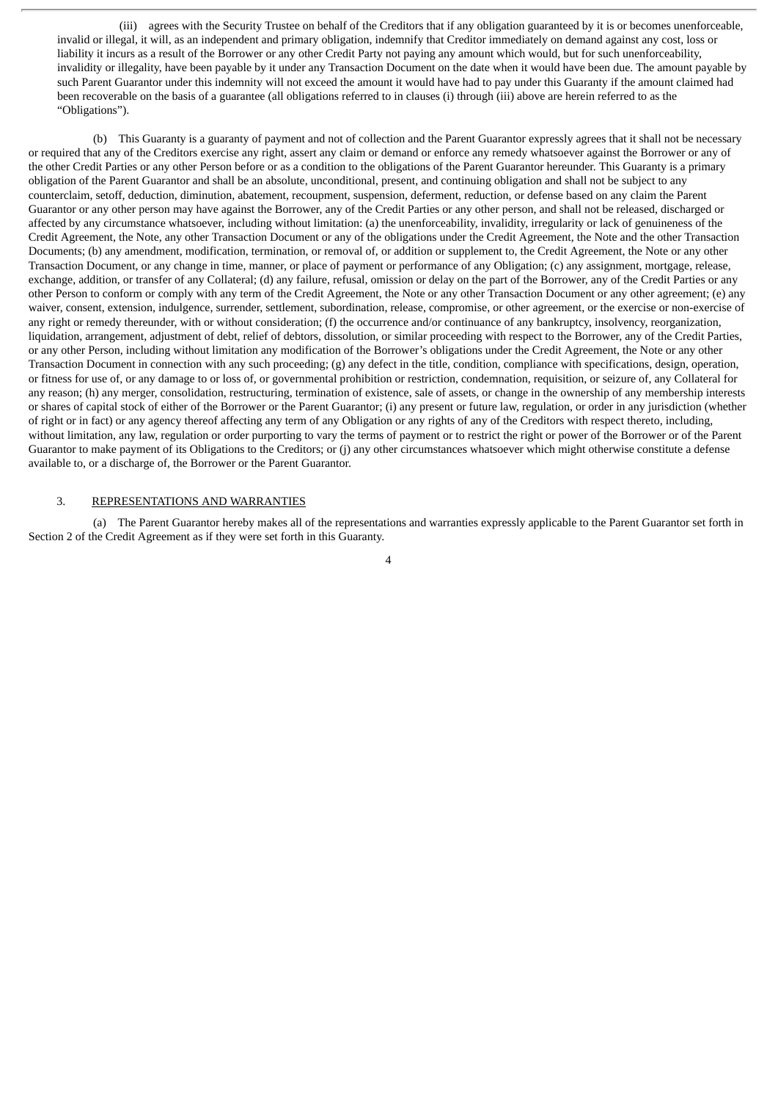(iii) agrees with the Security Trustee on behalf of the Creditors that if any obligation guaranteed by it is or becomes unenforceable, invalid or illegal, it will, as an independent and primary obligation, indemnify that Creditor immediately on demand against any cost, loss or liability it incurs as a result of the Borrower or any other Credit Party not paying any amount which would, but for such unenforceability, invalidity or illegality, have been payable by it under any Transaction Document on the date when it would have been due. The amount payable by such Parent Guarantor under this indemnity will not exceed the amount it would have had to pay under this Guaranty if the amount claimed had been recoverable on the basis of a guarantee (all obligations referred to in clauses (i) through (iii) above are herein referred to as the "Obligations").

(b) This Guaranty is a guaranty of payment and not of collection and the Parent Guarantor expressly agrees that it shall not be necessary or required that any of the Creditors exercise any right, assert any claim or demand or enforce any remedy whatsoever against the Borrower or any of the other Credit Parties or any other Person before or as a condition to the obligations of the Parent Guarantor hereunder. This Guaranty is a primary obligation of the Parent Guarantor and shall be an absolute, unconditional, present, and continuing obligation and shall not be subject to any counterclaim, setoff, deduction, diminution, abatement, recoupment, suspension, deferment, reduction, or defense based on any claim the Parent Guarantor or any other person may have against the Borrower, any of the Credit Parties or any other person, and shall not be released, discharged or affected by any circumstance whatsoever, including without limitation: (a) the unenforceability, invalidity, irregularity or lack of genuineness of the Credit Agreement, the Note, any other Transaction Document or any of the obligations under the Credit Agreement, the Note and the other Transaction Documents; (b) any amendment, modification, termination, or removal of, or addition or supplement to, the Credit Agreement, the Note or any other Transaction Document, or any change in time, manner, or place of payment or performance of any Obligation; (c) any assignment, mortgage, release, exchange, addition, or transfer of any Collateral; (d) any failure, refusal, omission or delay on the part of the Borrower, any of the Credit Parties or any other Person to conform or comply with any term of the Credit Agreement, the Note or any other Transaction Document or any other agreement; (e) any waiver, consent, extension, indulgence, surrender, settlement, subordination, release, compromise, or other agreement, or the exercise or non-exercise of any right or remedy thereunder, with or without consideration; (f) the occurrence and/or continuance of any bankruptcy, insolvency, reorganization, liquidation, arrangement, adjustment of debt, relief of debtors, dissolution, or similar proceeding with respect to the Borrower, any of the Credit Parties, or any other Person, including without limitation any modification of the Borrower's obligations under the Credit Agreement, the Note or any other Transaction Document in connection with any such proceeding; (g) any defect in the title, condition, compliance with specifications, design, operation, or fitness for use of, or any damage to or loss of, or governmental prohibition or restriction, condemnation, requisition, or seizure of, any Collateral for any reason; (h) any merger, consolidation, restructuring, termination of existence, sale of assets, or change in the ownership of any membership interests or shares of capital stock of either of the Borrower or the Parent Guarantor; (i) any present or future law, regulation, or order in any jurisdiction (whether of right or in fact) or any agency thereof affecting any term of any Obligation or any rights of any of the Creditors with respect thereto, including, without limitation, any law, regulation or order purporting to vary the terms of payment or to restrict the right or power of the Borrower or of the Parent Guarantor to make payment of its Obligations to the Creditors; or (j) any other circumstances whatsoever which might otherwise constitute a defense available to, or a discharge of, the Borrower or the Parent Guarantor.

#### 3. REPRESENTATIONS AND WARRANTIES

(a) The Parent Guarantor hereby makes all of the representations and warranties expressly applicable to the Parent Guarantor set forth in Section 2 of the Credit Agreement as if they were set forth in this Guaranty.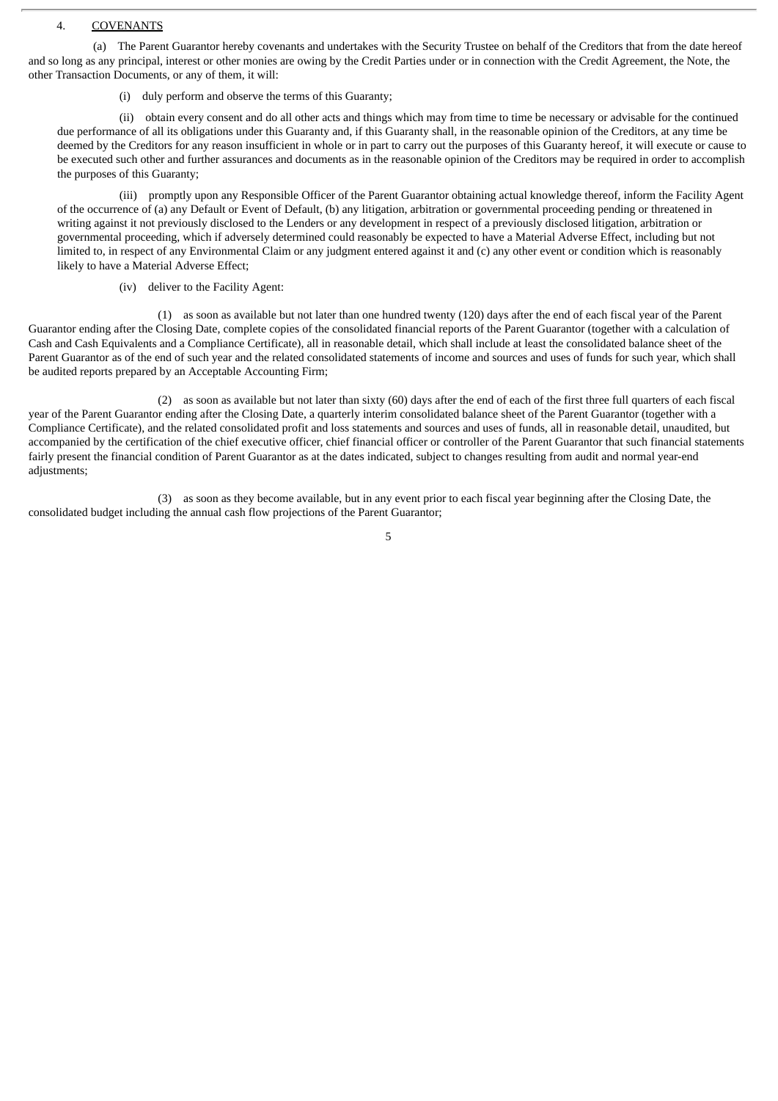#### 4. COVENANTS

(a) The Parent Guarantor hereby covenants and undertakes with the Security Trustee on behalf of the Creditors that from the date hereof and so long as any principal, interest or other monies are owing by the Credit Parties under or in connection with the Credit Agreement, the Note, the other Transaction Documents, or any of them, it will:

(i) duly perform and observe the terms of this Guaranty;

(ii) obtain every consent and do all other acts and things which may from time to time be necessary or advisable for the continued due performance of all its obligations under this Guaranty and, if this Guaranty shall, in the reasonable opinion of the Creditors, at any time be deemed by the Creditors for any reason insufficient in whole or in part to carry out the purposes of this Guaranty hereof, it will execute or cause to be executed such other and further assurances and documents as in the reasonable opinion of the Creditors may be required in order to accomplish the purposes of this Guaranty;

(iii) promptly upon any Responsible Officer of the Parent Guarantor obtaining actual knowledge thereof, inform the Facility Agent of the occurrence of (a) any Default or Event of Default, (b) any litigation, arbitration or governmental proceeding pending or threatened in writing against it not previously disclosed to the Lenders or any development in respect of a previously disclosed litigation, arbitration or governmental proceeding, which if adversely determined could reasonably be expected to have a Material Adverse Effect, including but not limited to, in respect of any Environmental Claim or any judgment entered against it and (c) any other event or condition which is reasonably likely to have a Material Adverse Effect;

(iv) deliver to the Facility Agent:

(1) as soon as available but not later than one hundred twenty (120) days after the end of each fiscal year of the Parent Guarantor ending after the Closing Date, complete copies of the consolidated financial reports of the Parent Guarantor (together with a calculation of Cash and Cash Equivalents and a Compliance Certificate), all in reasonable detail, which shall include at least the consolidated balance sheet of the Parent Guarantor as of the end of such year and the related consolidated statements of income and sources and uses of funds for such year, which shall be audited reports prepared by an Acceptable Accounting Firm;

(2) as soon as available but not later than sixty (60) days after the end of each of the first three full quarters of each fiscal year of the Parent Guarantor ending after the Closing Date, a quarterly interim consolidated balance sheet of the Parent Guarantor (together with a Compliance Certificate), and the related consolidated profit and loss statements and sources and uses of funds, all in reasonable detail, unaudited, but accompanied by the certification of the chief executive officer, chief financial officer or controller of the Parent Guarantor that such financial statements fairly present the financial condition of Parent Guarantor as at the dates indicated, subject to changes resulting from audit and normal year-end adjustments;

(3) as soon as they become available, but in any event prior to each fiscal year beginning after the Closing Date, the consolidated budget including the annual cash flow projections of the Parent Guarantor;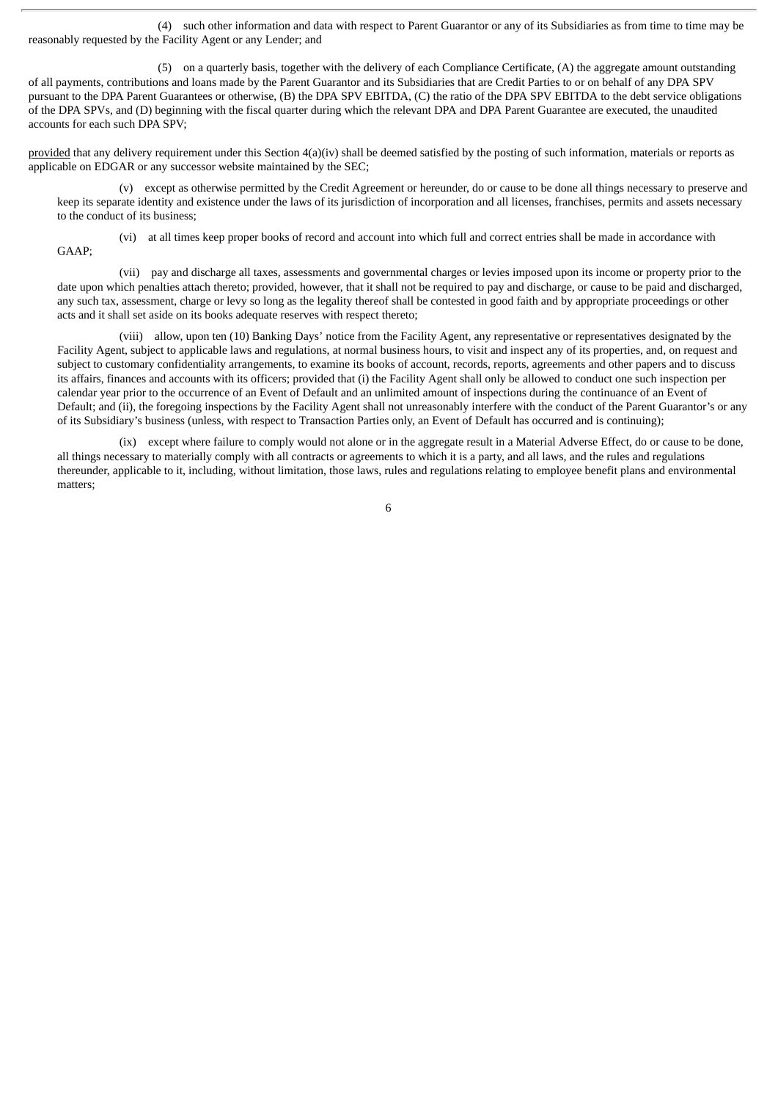(4) such other information and data with respect to Parent Guarantor or any of its Subsidiaries as from time to time may be reasonably requested by the Facility Agent or any Lender; and

(5) on a quarterly basis, together with the delivery of each Compliance Certificate, (A) the aggregate amount outstanding of all payments, contributions and loans made by the Parent Guarantor and its Subsidiaries that are Credit Parties to or on behalf of any DPA SPV pursuant to the DPA Parent Guarantees or otherwise, (B) the DPA SPV EBITDA, (C) the ratio of the DPA SPV EBITDA to the debt service obligations of the DPA SPVs, and (D) beginning with the fiscal quarter during which the relevant DPA and DPA Parent Guarantee are executed, the unaudited accounts for each such DPA SPV;

provided that any delivery requirement under this Section 4(a)(iv) shall be deemed satisfied by the posting of such information, materials or reports as applicable on EDGAR or any successor website maintained by the SEC;

(v) except as otherwise permitted by the Credit Agreement or hereunder, do or cause to be done all things necessary to preserve and keep its separate identity and existence under the laws of its jurisdiction of incorporation and all licenses, franchises, permits and assets necessary to the conduct of its business;

(vi) at all times keep proper books of record and account into which full and correct entries shall be made in accordance with GAAP;

(vii) pay and discharge all taxes, assessments and governmental charges or levies imposed upon its income or property prior to the date upon which penalties attach thereto; provided, however, that it shall not be required to pay and discharge, or cause to be paid and discharged, any such tax, assessment, charge or levy so long as the legality thereof shall be contested in good faith and by appropriate proceedings or other acts and it shall set aside on its books adequate reserves with respect thereto;

(viii) allow, upon ten (10) Banking Days' notice from the Facility Agent, any representative or representatives designated by the Facility Agent, subject to applicable laws and regulations, at normal business hours, to visit and inspect any of its properties, and, on request and subject to customary confidentiality arrangements, to examine its books of account, records, reports, agreements and other papers and to discuss its affairs, finances and accounts with its officers; provided that (i) the Facility Agent shall only be allowed to conduct one such inspection per calendar year prior to the occurrence of an Event of Default and an unlimited amount of inspections during the continuance of an Event of Default; and (ii), the foregoing inspections by the Facility Agent shall not unreasonably interfere with the conduct of the Parent Guarantor's or any of its Subsidiary's business (unless, with respect to Transaction Parties only, an Event of Default has occurred and is continuing);

(ix) except where failure to comply would not alone or in the aggregate result in a Material Adverse Effect, do or cause to be done, all things necessary to materially comply with all contracts or agreements to which it is a party, and all laws, and the rules and regulations thereunder, applicable to it, including, without limitation, those laws, rules and regulations relating to employee benefit plans and environmental matters;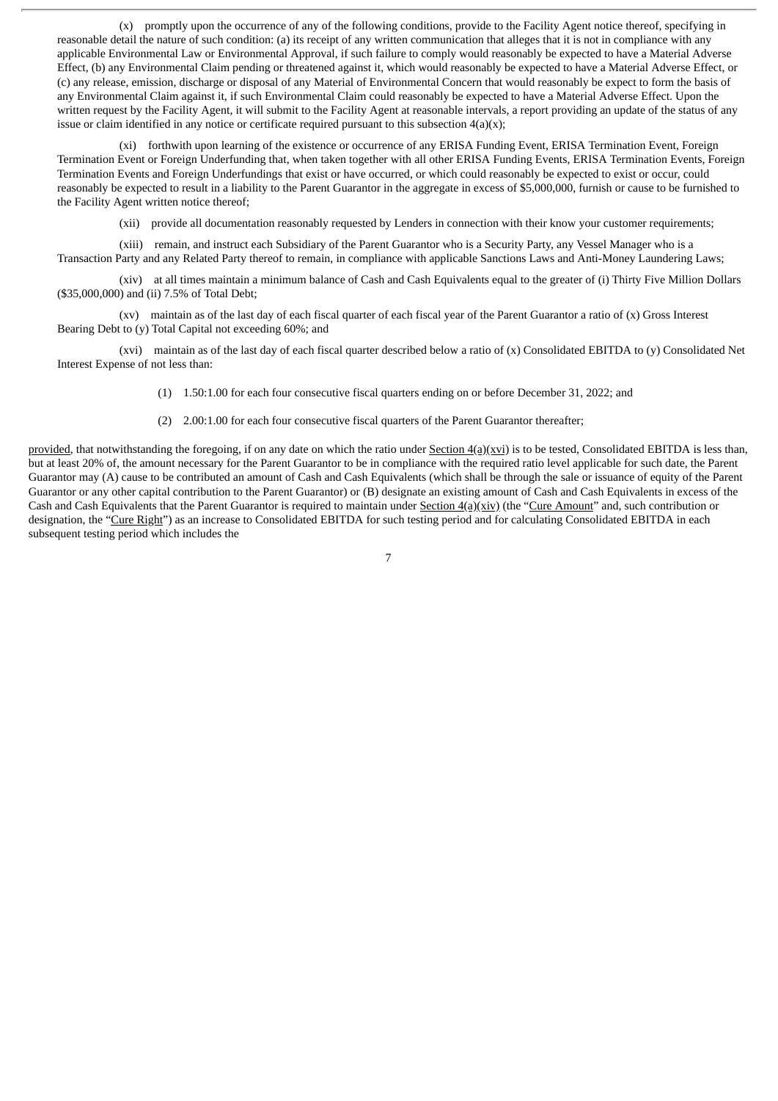(x) promptly upon the occurrence of any of the following conditions, provide to the Facility Agent notice thereof, specifying in reasonable detail the nature of such condition: (a) its receipt of any written communication that alleges that it is not in compliance with any applicable Environmental Law or Environmental Approval, if such failure to comply would reasonably be expected to have a Material Adverse Effect, (b) any Environmental Claim pending or threatened against it, which would reasonably be expected to have a Material Adverse Effect, or (c) any release, emission, discharge or disposal of any Material of Environmental Concern that would reasonably be expect to form the basis of any Environmental Claim against it, if such Environmental Claim could reasonably be expected to have a Material Adverse Effect. Upon the written request by the Facility Agent, it will submit to the Facility Agent at reasonable intervals, a report providing an update of the status of any issue or claim identified in any notice or certificate required pursuant to this subsection  $4(a)(x)$ ;

(xi) forthwith upon learning of the existence or occurrence of any ERISA Funding Event, ERISA Termination Event, Foreign Termination Event or Foreign Underfunding that, when taken together with all other ERISA Funding Events, ERISA Termination Events, Foreign Termination Events and Foreign Underfundings that exist or have occurred, or which could reasonably be expected to exist or occur, could reasonably be expected to result in a liability to the Parent Guarantor in the aggregate in excess of \$5,000,000, furnish or cause to be furnished to the Facility Agent written notice thereof;

(xii) provide all documentation reasonably requested by Lenders in connection with their know your customer requirements;

(xiii) remain, and instruct each Subsidiary of the Parent Guarantor who is a Security Party, any Vessel Manager who is a Transaction Party and any Related Party thereof to remain, in compliance with applicable Sanctions Laws and Anti-Money Laundering Laws;

(xiv) at all times maintain a minimum balance of Cash and Cash Equivalents equal to the greater of (i) Thirty Five Million Dollars (\$35,000,000) and (ii) 7.5% of Total Debt;

(xv) maintain as of the last day of each fiscal quarter of each fiscal year of the Parent Guarantor a ratio of (x) Gross Interest Bearing Debt to (y) Total Capital not exceeding 60%; and

(xvi) maintain as of the last day of each fiscal quarter described below a ratio of (x) Consolidated EBITDA to (y) Consolidated Net Interest Expense of not less than:

(1) 1.50:1.00 for each four consecutive fiscal quarters ending on or before December 31, 2022; and

(2) 2.00:1.00 for each four consecutive fiscal quarters of the Parent Guarantor thereafter;

provided, that notwithstanding the foregoing, if on any date on which the ratio under Section 4(a)(xvi) is to be tested, Consolidated EBITDA is less than, but at least 20% of, the amount necessary for the Parent Guarantor to be in compliance with the required ratio level applicable for such date, the Parent Guarantor may (A) cause to be contributed an amount of Cash and Cash Equivalents (which shall be through the sale or issuance of equity of the Parent Guarantor or any other capital contribution to the Parent Guarantor) or (B) designate an existing amount of Cash and Cash Equivalents in excess of the Cash and Cash Equivalents that the Parent Guarantor is required to maintain under Section  $4(a)(xiv)$  (the "Cure Amount" and, such contribution or designation, the "Cure Right") as an increase to Consolidated EBITDA for such testing period and for calculating Consolidated EBITDA in each subsequent testing period which includes the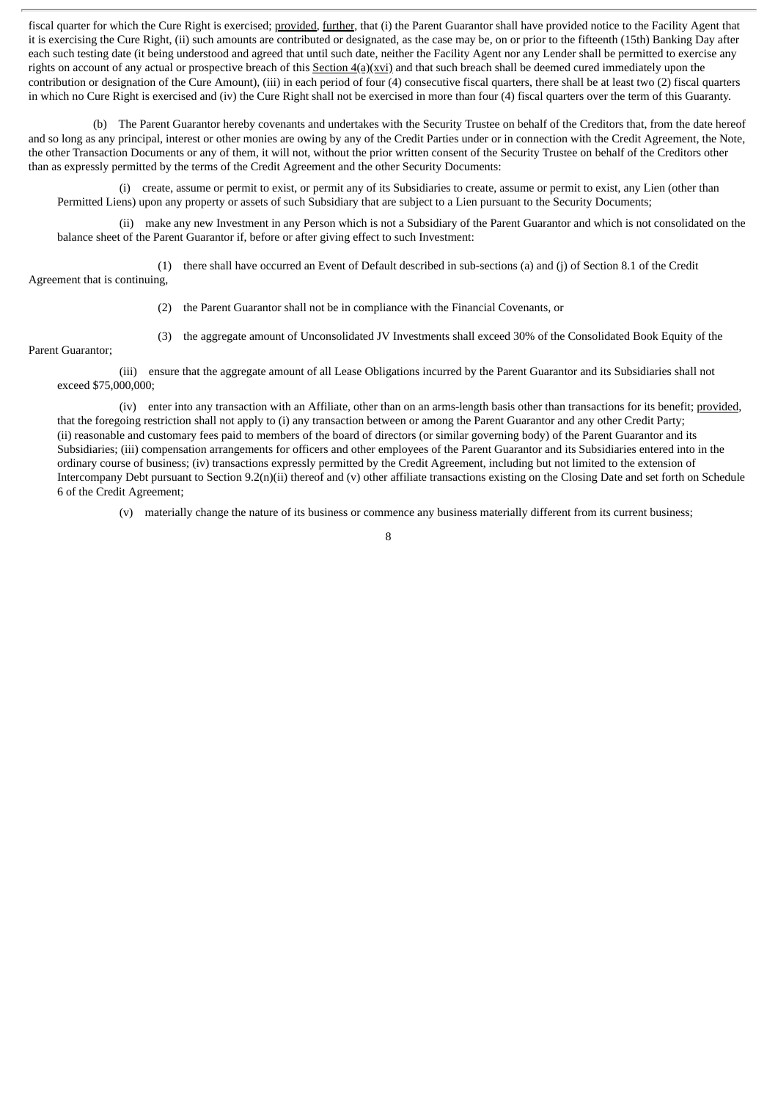fiscal quarter for which the Cure Right is exercised; provided, further, that (i) the Parent Guarantor shall have provided notice to the Facility Agent that it is exercising the Cure Right, (ii) such amounts are contributed or designated, as the case may be, on or prior to the fifteenth (15th) Banking Day after each such testing date (it being understood and agreed that until such date, neither the Facility Agent nor any Lender shall be permitted to exercise any rights on account of any actual or prospective breach of this Section  $4(a)(xyi)$  and that such breach shall be deemed cured immediately upon the contribution or designation of the Cure Amount), (iii) in each period of four (4) consecutive fiscal quarters, there shall be at least two (2) fiscal quarters in which no Cure Right is exercised and (iv) the Cure Right shall not be exercised in more than four (4) fiscal quarters over the term of this Guaranty.

(b) The Parent Guarantor hereby covenants and undertakes with the Security Trustee on behalf of the Creditors that, from the date hereof and so long as any principal, interest or other monies are owing by any of the Credit Parties under or in connection with the Credit Agreement, the Note, the other Transaction Documents or any of them, it will not, without the prior written consent of the Security Trustee on behalf of the Creditors other than as expressly permitted by the terms of the Credit Agreement and the other Security Documents:

(i) create, assume or permit to exist, or permit any of its Subsidiaries to create, assume or permit to exist, any Lien (other than Permitted Liens) upon any property or assets of such Subsidiary that are subject to a Lien pursuant to the Security Documents;

(ii) make any new Investment in any Person which is not a Subsidiary of the Parent Guarantor and which is not consolidated on the balance sheet of the Parent Guarantor if, before or after giving effect to such Investment:

(1) there shall have occurred an Event of Default described in sub-sections (a) and (j) of Section 8.1 of the Credit Agreement that is continuing,

(2) the Parent Guarantor shall not be in compliance with the Financial Covenants, or

(3) the aggregate amount of Unconsolidated JV Investments shall exceed 30% of the Consolidated Book Equity of the

Parent Guarantor;

(iii) ensure that the aggregate amount of all Lease Obligations incurred by the Parent Guarantor and its Subsidiaries shall not exceed \$75,000,000;

(iv) enter into any transaction with an Affiliate, other than on an arms-length basis other than transactions for its benefit; provided, that the foregoing restriction shall not apply to (i) any transaction between or among the Parent Guarantor and any other Credit Party; (ii) reasonable and customary fees paid to members of the board of directors (or similar governing body) of the Parent Guarantor and its Subsidiaries; (iii) compensation arrangements for officers and other employees of the Parent Guarantor and its Subsidiaries entered into in the ordinary course of business; (iv) transactions expressly permitted by the Credit Agreement, including but not limited to the extension of Intercompany Debt pursuant to Section 9.2(n)(ii) thereof and (v) other affiliate transactions existing on the Closing Date and set forth on Schedule 6 of the Credit Agreement;

(v) materially change the nature of its business or commence any business materially different from its current business;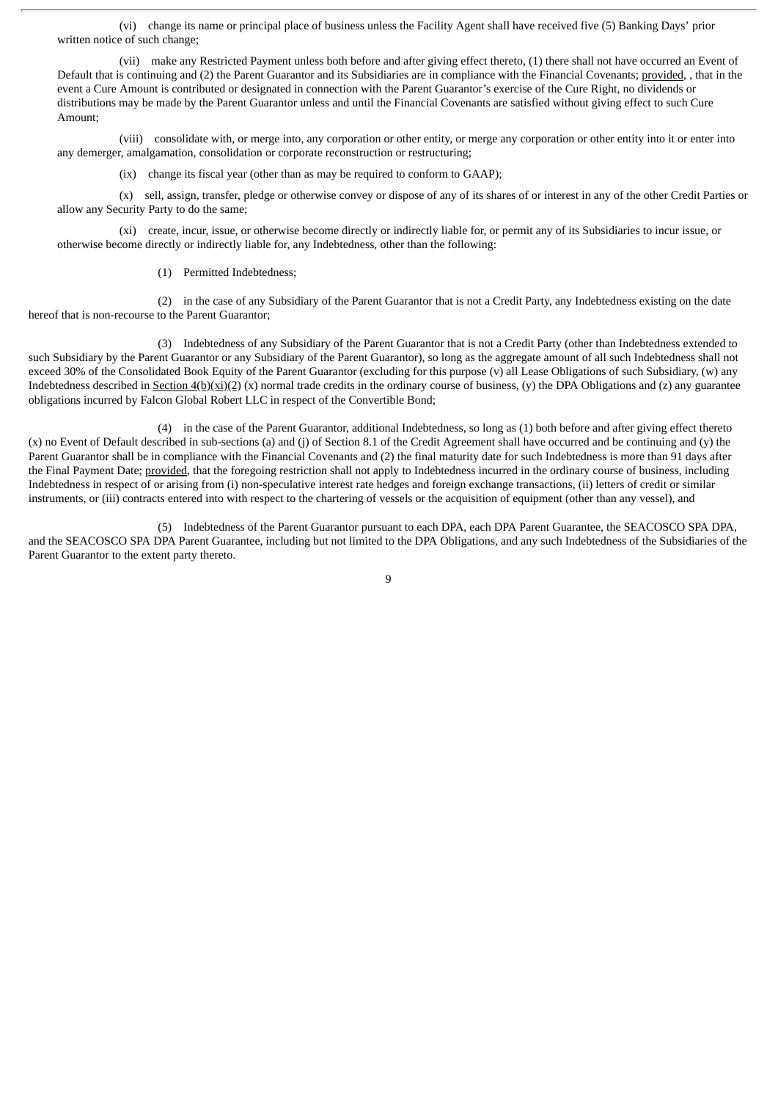(vi) change its name or principal place of business unless the Facility Agent shall have received five (5) Banking Days' prior written notice of such change;

(vii) make any Restricted Payment unless both before and after giving effect thereto, (1) there shall not have occurred an Event of Default that is continuing and (2) the Parent Guarantor and its Subsidiaries are in compliance with the Financial Covenants; provided, , that in the event a Cure Amount is contributed or designated in connection with the Parent Guarantor's exercise of the Cure Right, no dividends or distributions may be made by the Parent Guarantor unless and until the Financial Covenants are satisfied without giving effect to such Cure Amount;

(viii) consolidate with, or merge into, any corporation or other entity, or merge any corporation or other entity into it or enter into any demerger, amalgamation, consolidation or corporate reconstruction or restructuring;

(ix) change its fiscal year (other than as may be required to conform to GAAP);

(x) sell, assign, transfer, pledge or otherwise convey or dispose of any of its shares of or interest in any of the other Credit Parties or allow any Security Party to do the same;

(xi) create, incur, issue, or otherwise become directly or indirectly liable for, or permit any of its Subsidiaries to incur issue, or otherwise become directly or indirectly liable for, any Indebtedness, other than the following:

(1) Permitted Indebtedness;

(2) in the case of any Subsidiary of the Parent Guarantor that is not a Credit Party, any Indebtedness existing on the date hereof that is non-recourse to the Parent Guarantor;

(3) Indebtedness of any Subsidiary of the Parent Guarantor that is not a Credit Party (other than Indebtedness extended to such Subsidiary by the Parent Guarantor or any Subsidiary of the Parent Guarantor), so long as the aggregate amount of all such Indebtedness shall not exceed 30% of the Consolidated Book Equity of the Parent Guarantor (excluding for this purpose (v) all Lease Obligations of such Subsidiary, (w) any Indebtedness described in Section  $4(b)(xi)(2)(x)$  normal trade credits in the ordinary course of business, (y) the DPA Obligations and (z) any guarantee obligations incurred by Falcon Global Robert LLC in respect of the Convertible Bond;

(4) in the case of the Parent Guarantor, additional Indebtedness, so long as (1) both before and after giving effect thereto  $(x)$  no Event of Default described in sub-sections (a) and (j) of Section 8.1 of the Credit Agreement shall have occurred and be continuing and (y) the Parent Guarantor shall be in compliance with the Financial Covenants and (2) the final maturity date for such Indebtedness is more than 91 days after the Final Payment Date; provided, that the foregoing restriction shall not apply to Indebtedness incurred in the ordinary course of business, including Indebtedness in respect of or arising from (i) non-speculative interest rate hedges and foreign exchange transactions, (ii) letters of credit or similar instruments, or (iii) contracts entered into with respect to the chartering of vessels or the acquisition of equipment (other than any vessel), and

(5) Indebtedness of the Parent Guarantor pursuant to each DPA, each DPA Parent Guarantee, the SEACOSCO SPA DPA, and the SEACOSCO SPA DPA Parent Guarantee, including but not limited to the DPA Obligations, and any such Indebtedness of the Subsidiaries of the Parent Guarantor to the extent party thereto.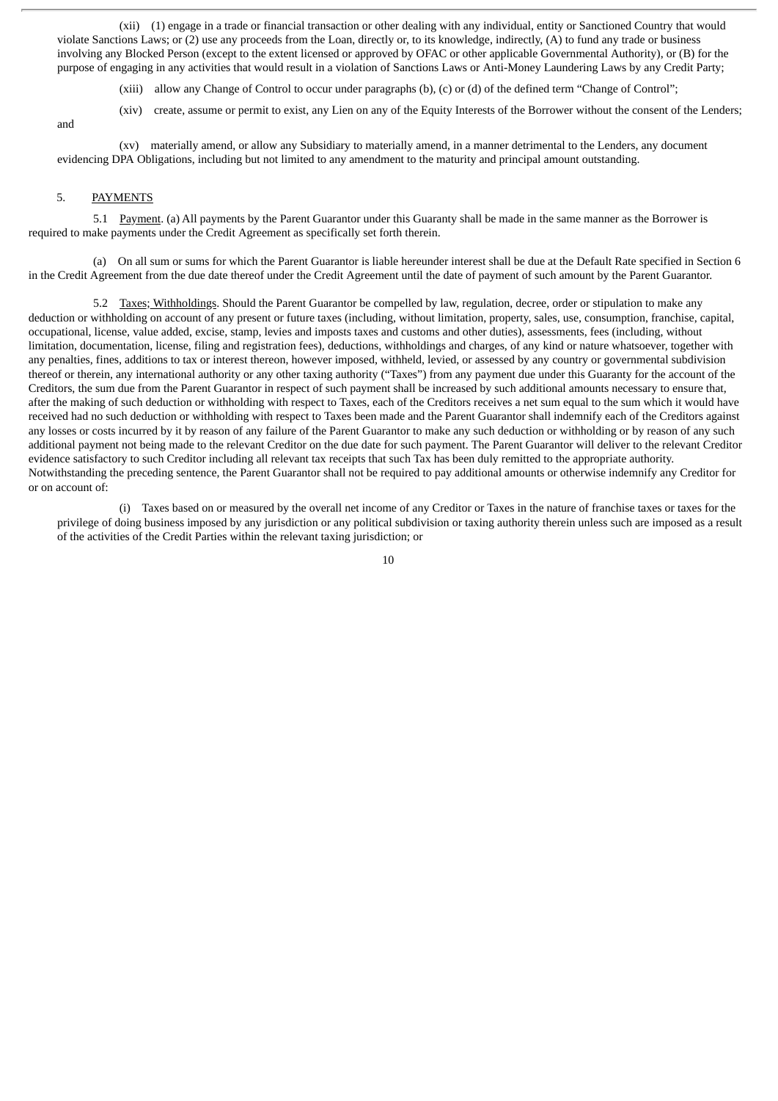(xii) (1) engage in a trade or financial transaction or other dealing with any individual, entity or Sanctioned Country that would violate Sanctions Laws; or (2) use any proceeds from the Loan, directly or, to its knowledge, indirectly, (A) to fund any trade or business involving any Blocked Person (except to the extent licensed or approved by OFAC or other applicable Governmental Authority), or (B) for the purpose of engaging in any activities that would result in a violation of Sanctions Laws or Anti-Money Laundering Laws by any Credit Party;

- (xiii) allow any Change of Control to occur under paragraphs (b), (c) or (d) of the defined term "Change of Control";
- and
- (xiv) create, assume or permit to exist, any Lien on any of the Equity Interests of the Borrower without the consent of the Lenders;

(xv) materially amend, or allow any Subsidiary to materially amend, in a manner detrimental to the Lenders, any document evidencing DPA Obligations, including but not limited to any amendment to the maturity and principal amount outstanding.

#### 5. PAYMENTS

5.1 Payment. (a) All payments by the Parent Guarantor under this Guaranty shall be made in the same manner as the Borrower is required to make payments under the Credit Agreement as specifically set forth therein.

(a) On all sum or sums for which the Parent Guarantor is liable hereunder interest shall be due at the Default Rate specified in Section 6 in the Credit Agreement from the due date thereof under the Credit Agreement until the date of payment of such amount by the Parent Guarantor.

5.2 Taxes; Withholdings. Should the Parent Guarantor be compelled by law, regulation, decree, order or stipulation to make any deduction or withholding on account of any present or future taxes (including, without limitation, property, sales, use, consumption, franchise, capital, occupational, license, value added, excise, stamp, levies and imposts taxes and customs and other duties), assessments, fees (including, without limitation, documentation, license, filing and registration fees), deductions, withholdings and charges, of any kind or nature whatsoever, together with any penalties, fines, additions to tax or interest thereon, however imposed, withheld, levied, or assessed by any country or governmental subdivision thereof or therein, any international authority or any other taxing authority ("Taxes") from any payment due under this Guaranty for the account of the Creditors, the sum due from the Parent Guarantor in respect of such payment shall be increased by such additional amounts necessary to ensure that, after the making of such deduction or withholding with respect to Taxes, each of the Creditors receives a net sum equal to the sum which it would have received had no such deduction or withholding with respect to Taxes been made and the Parent Guarantor shall indemnify each of the Creditors against any losses or costs incurred by it by reason of any failure of the Parent Guarantor to make any such deduction or withholding or by reason of any such additional payment not being made to the relevant Creditor on the due date for such payment. The Parent Guarantor will deliver to the relevant Creditor evidence satisfactory to such Creditor including all relevant tax receipts that such Tax has been duly remitted to the appropriate authority. Notwithstanding the preceding sentence, the Parent Guarantor shall not be required to pay additional amounts or otherwise indemnify any Creditor for or on account of:

(i) Taxes based on or measured by the overall net income of any Creditor or Taxes in the nature of franchise taxes or taxes for the privilege of doing business imposed by any jurisdiction or any political subdivision or taxing authority therein unless such are imposed as a result of the activities of the Credit Parties within the relevant taxing jurisdiction; or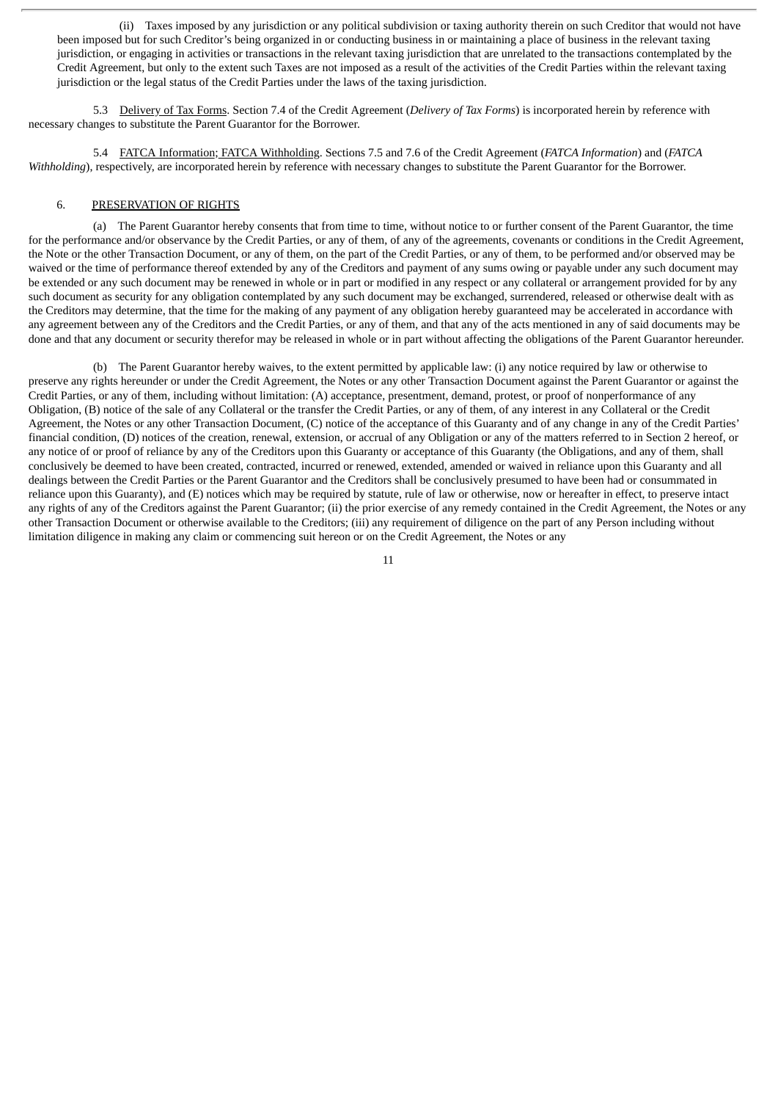(ii) Taxes imposed by any jurisdiction or any political subdivision or taxing authority therein on such Creditor that would not have been imposed but for such Creditor's being organized in or conducting business in or maintaining a place of business in the relevant taxing jurisdiction, or engaging in activities or transactions in the relevant taxing jurisdiction that are unrelated to the transactions contemplated by the Credit Agreement, but only to the extent such Taxes are not imposed as a result of the activities of the Credit Parties within the relevant taxing jurisdiction or the legal status of the Credit Parties under the laws of the taxing jurisdiction.

5.3 Delivery of Tax Forms. Section 7.4 of the Credit Agreement (*Delivery of Tax Forms*) is incorporated herein by reference with necessary changes to substitute the Parent Guarantor for the Borrower.

5.4 FATCA Information; FATCA Withholding. Sections 7.5 and 7.6 of the Credit Agreement (*FATCA Information*) and (*FATCA Withholding*), respectively, are incorporated herein by reference with necessary changes to substitute the Parent Guarantor for the Borrower.

#### 6. PRESERVATION OF RIGHTS

(a) The Parent Guarantor hereby consents that from time to time, without notice to or further consent of the Parent Guarantor, the time for the performance and/or observance by the Credit Parties, or any of them, of any of the agreements, covenants or conditions in the Credit Agreement, the Note or the other Transaction Document, or any of them, on the part of the Credit Parties, or any of them, to be performed and/or observed may be waived or the time of performance thereof extended by any of the Creditors and payment of any sums owing or payable under any such document may be extended or any such document may be renewed in whole or in part or modified in any respect or any collateral or arrangement provided for by any such document as security for any obligation contemplated by any such document may be exchanged, surrendered, released or otherwise dealt with as the Creditors may determine, that the time for the making of any payment of any obligation hereby guaranteed may be accelerated in accordance with any agreement between any of the Creditors and the Credit Parties, or any of them, and that any of the acts mentioned in any of said documents may be done and that any document or security therefor may be released in whole or in part without affecting the obligations of the Parent Guarantor hereunder.

(b) The Parent Guarantor hereby waives, to the extent permitted by applicable law: (i) any notice required by law or otherwise to preserve any rights hereunder or under the Credit Agreement, the Notes or any other Transaction Document against the Parent Guarantor or against the Credit Parties, or any of them, including without limitation: (A) acceptance, presentment, demand, protest, or proof of nonperformance of any Obligation, (B) notice of the sale of any Collateral or the transfer the Credit Parties, or any of them, of any interest in any Collateral or the Credit Agreement, the Notes or any other Transaction Document, (C) notice of the acceptance of this Guaranty and of any change in any of the Credit Parties' financial condition, (D) notices of the creation, renewal, extension, or accrual of any Obligation or any of the matters referred to in Section 2 hereof, or any notice of or proof of reliance by any of the Creditors upon this Guaranty or acceptance of this Guaranty (the Obligations, and any of them, shall conclusively be deemed to have been created, contracted, incurred or renewed, extended, amended or waived in reliance upon this Guaranty and all dealings between the Credit Parties or the Parent Guarantor and the Creditors shall be conclusively presumed to have been had or consummated in reliance upon this Guaranty), and (E) notices which may be required by statute, rule of law or otherwise, now or hereafter in effect, to preserve intact any rights of any of the Creditors against the Parent Guarantor; (ii) the prior exercise of any remedy contained in the Credit Agreement, the Notes or any other Transaction Document or otherwise available to the Creditors; (iii) any requirement of diligence on the part of any Person including without limitation diligence in making any claim or commencing suit hereon or on the Credit Agreement, the Notes or any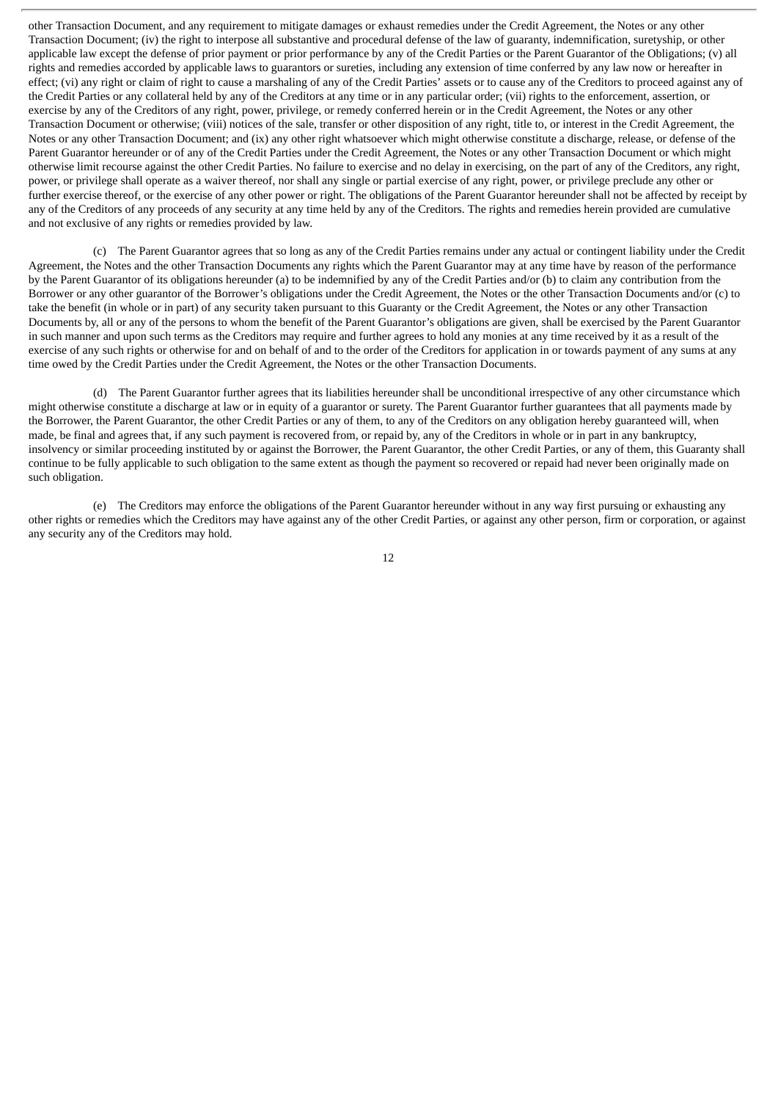other Transaction Document, and any requirement to mitigate damages or exhaust remedies under the Credit Agreement, the Notes or any other Transaction Document; (iv) the right to interpose all substantive and procedural defense of the law of guaranty, indemnification, suretyship, or other applicable law except the defense of prior payment or prior performance by any of the Credit Parties or the Parent Guarantor of the Obligations; (v) all rights and remedies accorded by applicable laws to guarantors or sureties, including any extension of time conferred by any law now or hereafter in effect; (vi) any right or claim of right to cause a marshaling of any of the Credit Parties' assets or to cause any of the Creditors to proceed against any of the Credit Parties or any collateral held by any of the Creditors at any time or in any particular order; (vii) rights to the enforcement, assertion, or exercise by any of the Creditors of any right, power, privilege, or remedy conferred herein or in the Credit Agreement, the Notes or any other Transaction Document or otherwise; (viii) notices of the sale, transfer or other disposition of any right, title to, or interest in the Credit Agreement, the Notes or any other Transaction Document; and (ix) any other right whatsoever which might otherwise constitute a discharge, release, or defense of the Parent Guarantor hereunder or of any of the Credit Parties under the Credit Agreement, the Notes or any other Transaction Document or which might otherwise limit recourse against the other Credit Parties. No failure to exercise and no delay in exercising, on the part of any of the Creditors, any right, power, or privilege shall operate as a waiver thereof, nor shall any single or partial exercise of any right, power, or privilege preclude any other or further exercise thereof, or the exercise of any other power or right. The obligations of the Parent Guarantor hereunder shall not be affected by receipt by any of the Creditors of any proceeds of any security at any time held by any of the Creditors. The rights and remedies herein provided are cumulative and not exclusive of any rights or remedies provided by law.

(c) The Parent Guarantor agrees that so long as any of the Credit Parties remains under any actual or contingent liability under the Credit Agreement, the Notes and the other Transaction Documents any rights which the Parent Guarantor may at any time have by reason of the performance by the Parent Guarantor of its obligations hereunder (a) to be indemnified by any of the Credit Parties and/or (b) to claim any contribution from the Borrower or any other guarantor of the Borrower's obligations under the Credit Agreement, the Notes or the other Transaction Documents and/or (c) to take the benefit (in whole or in part) of any security taken pursuant to this Guaranty or the Credit Agreement, the Notes or any other Transaction Documents by, all or any of the persons to whom the benefit of the Parent Guarantor's obligations are given, shall be exercised by the Parent Guarantor in such manner and upon such terms as the Creditors may require and further agrees to hold any monies at any time received by it as a result of the exercise of any such rights or otherwise for and on behalf of and to the order of the Creditors for application in or towards payment of any sums at any time owed by the Credit Parties under the Credit Agreement, the Notes or the other Transaction Documents.

(d) The Parent Guarantor further agrees that its liabilities hereunder shall be unconditional irrespective of any other circumstance which might otherwise constitute a discharge at law or in equity of a guarantor or surety. The Parent Guarantor further guarantees that all payments made by the Borrower, the Parent Guarantor, the other Credit Parties or any of them, to any of the Creditors on any obligation hereby guaranteed will, when made, be final and agrees that, if any such payment is recovered from, or repaid by, any of the Creditors in whole or in part in any bankruptcy, insolvency or similar proceeding instituted by or against the Borrower, the Parent Guarantor, the other Credit Parties, or any of them, this Guaranty shall continue to be fully applicable to such obligation to the same extent as though the payment so recovered or repaid had never been originally made on such obligation.

(e) The Creditors may enforce the obligations of the Parent Guarantor hereunder without in any way first pursuing or exhausting any other rights or remedies which the Creditors may have against any of the other Credit Parties, or against any other person, firm or corporation, or against any security any of the Creditors may hold.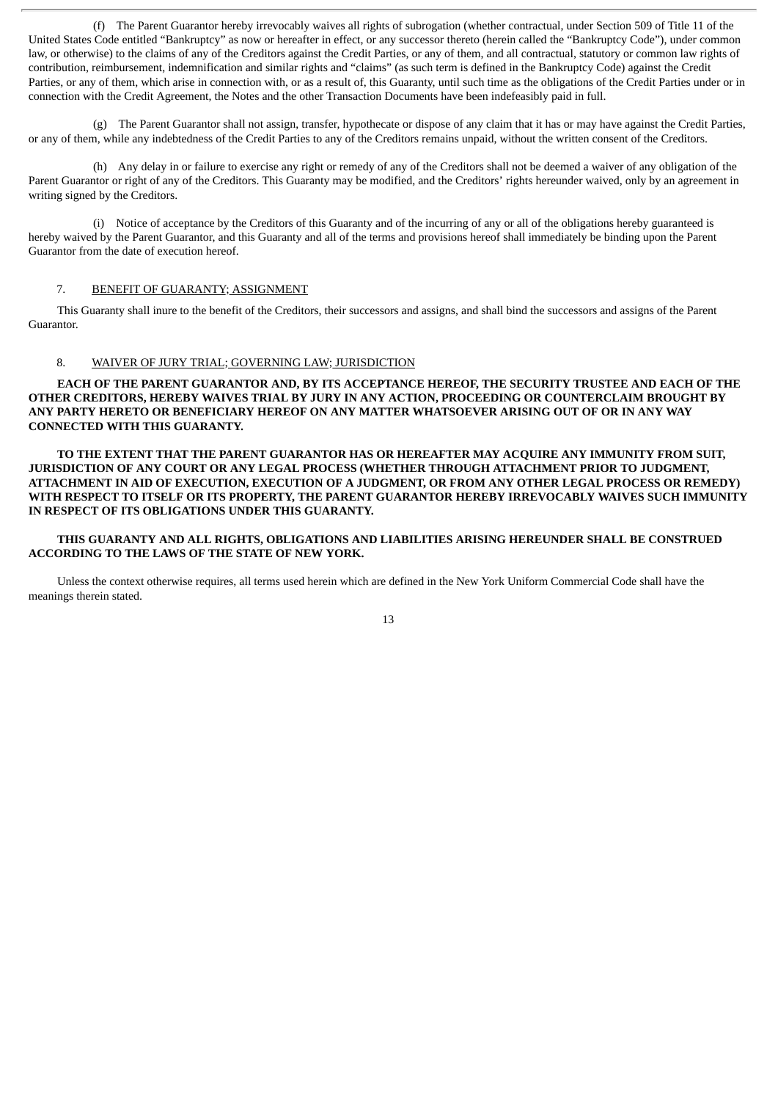(f) The Parent Guarantor hereby irrevocably waives all rights of subrogation (whether contractual, under Section 509 of Title 11 of the United States Code entitled "Bankruptcy" as now or hereafter in effect, or any successor thereto (herein called the "Bankruptcy Code"), under common law, or otherwise) to the claims of any of the Creditors against the Credit Parties, or any of them, and all contractual, statutory or common law rights of contribution, reimbursement, indemnification and similar rights and "claims" (as such term is defined in the Bankruptcy Code) against the Credit Parties, or any of them, which arise in connection with, or as a result of, this Guaranty, until such time as the obligations of the Credit Parties under or in connection with the Credit Agreement, the Notes and the other Transaction Documents have been indefeasibly paid in full.

(g) The Parent Guarantor shall not assign, transfer, hypothecate or dispose of any claim that it has or may have against the Credit Parties, or any of them, while any indebtedness of the Credit Parties to any of the Creditors remains unpaid, without the written consent of the Creditors.

(h) Any delay in or failure to exercise any right or remedy of any of the Creditors shall not be deemed a waiver of any obligation of the Parent Guarantor or right of any of the Creditors. This Guaranty may be modified, and the Creditors' rights hereunder waived, only by an agreement in writing signed by the Creditors.

(i) Notice of acceptance by the Creditors of this Guaranty and of the incurring of any or all of the obligations hereby guaranteed is hereby waived by the Parent Guarantor, and this Guaranty and all of the terms and provisions hereof shall immediately be binding upon the Parent Guarantor from the date of execution hereof.

#### 7. BENEFIT OF GUARANTY; ASSIGNMENT

This Guaranty shall inure to the benefit of the Creditors, their successors and assigns, and shall bind the successors and assigns of the Parent Guarantor.

#### 8. WAIVER OF JURY TRIAL; GOVERNING LAW; JURISDICTION

**EACH OF THE PARENT GUARANTOR AND, BY ITS ACCEPTANCE HEREOF, THE SECURITY TRUSTEE AND EACH OF THE OTHER CREDITORS, HEREBY WAIVES TRIAL BY JURY IN ANY ACTION, PROCEEDING OR COUNTERCLAIM BROUGHT BY ANY PARTY HERETO OR BENEFICIARY HEREOF ON ANY MATTER WHATSOEVER ARISING OUT OF OR IN ANY WAY CONNECTED WITH THIS GUARANTY.**

**TO THE EXTENT THAT THE PARENT GUARANTOR HAS OR HEREAFTER MAY ACQUIRE ANY IMMUNITY FROM SUIT, JURISDICTION OF ANY COURT OR ANY LEGAL PROCESS (WHETHER THROUGH ATTACHMENT PRIOR TO JUDGMENT, ATTACHMENT IN AID OF EXECUTION, EXECUTION OF A JUDGMENT, OR FROM ANY OTHER LEGAL PROCESS OR REMEDY) WITH RESPECT TO ITSELF OR ITS PROPERTY, THE PARENT GUARANTOR HEREBY IRREVOCABLY WAIVES SUCH IMMUNITY IN RESPECT OF ITS OBLIGATIONS UNDER THIS GUARANTY.**

## **THIS GUARANTY AND ALL RIGHTS, OBLIGATIONS AND LIABILITIES ARISING HEREUNDER SHALL BE CONSTRUED ACCORDING TO THE LAWS OF THE STATE OF NEW YORK.**

Unless the context otherwise requires, all terms used herein which are defined in the New York Uniform Commercial Code shall have the meanings therein stated.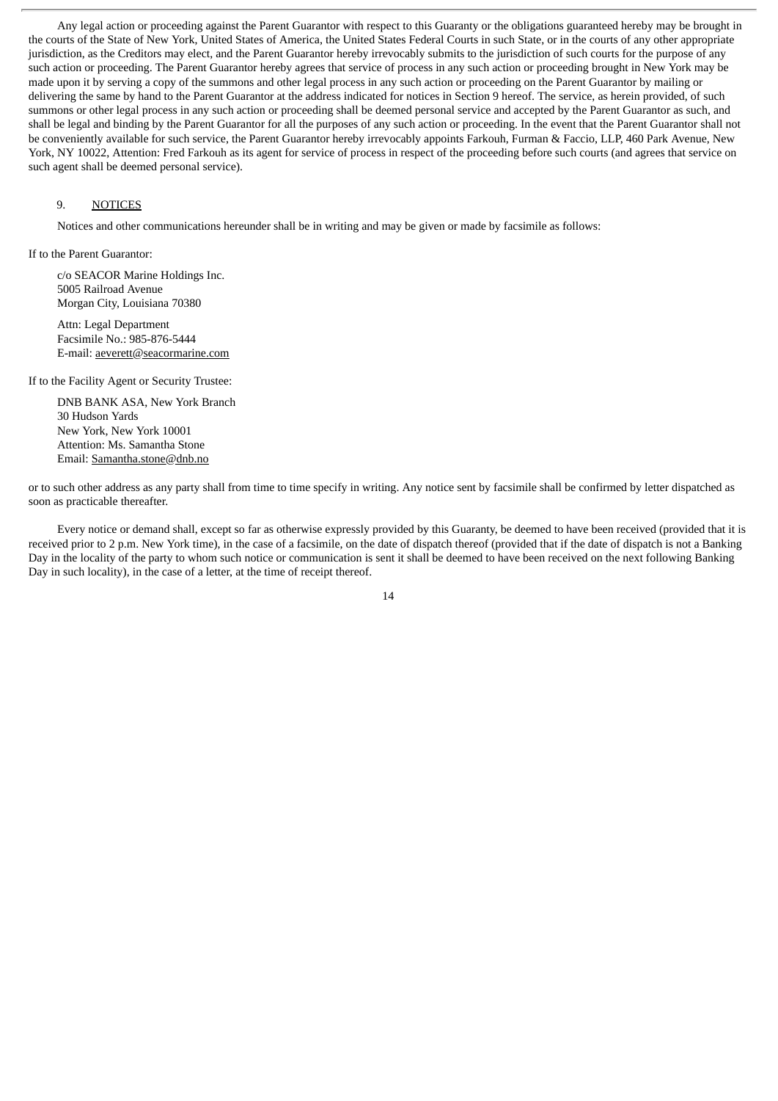Any legal action or proceeding against the Parent Guarantor with respect to this Guaranty or the obligations guaranteed hereby may be brought in the courts of the State of New York, United States of America, the United States Federal Courts in such State, or in the courts of any other appropriate jurisdiction, as the Creditors may elect, and the Parent Guarantor hereby irrevocably submits to the jurisdiction of such courts for the purpose of any such action or proceeding. The Parent Guarantor hereby agrees that service of process in any such action or proceeding brought in New York may be made upon it by serving a copy of the summons and other legal process in any such action or proceeding on the Parent Guarantor by mailing or delivering the same by hand to the Parent Guarantor at the address indicated for notices in Section 9 hereof. The service, as herein provided, of such summons or other legal process in any such action or proceeding shall be deemed personal service and accepted by the Parent Guarantor as such, and shall be legal and binding by the Parent Guarantor for all the purposes of any such action or proceeding. In the event that the Parent Guarantor shall not be conveniently available for such service, the Parent Guarantor hereby irrevocably appoints Farkouh, Furman & Faccio, LLP, 460 Park Avenue, New York, NY 10022, Attention: Fred Farkouh as its agent for service of process in respect of the proceeding before such courts (and agrees that service on such agent shall be deemed personal service).

#### 9. NOTICES

Notices and other communications hereunder shall be in writing and may be given or made by facsimile as follows:

If to the Parent Guarantor:

c/o SEACOR Marine Holdings Inc. 5005 Railroad Avenue Morgan City, Louisiana 70380

Attn: Legal Department Facsimile No.: 985-876-5444 E-mail: aeverett@seacormarine.com

If to the Facility Agent or Security Trustee:

DNB BANK ASA, New York Branch 30 Hudson Yards New York, New York 10001 Attention: Ms. Samantha Stone Email: Samantha.stone@dnb.no

or to such other address as any party shall from time to time specify in writing. Any notice sent by facsimile shall be confirmed by letter dispatched as soon as practicable thereafter.

Every notice or demand shall, except so far as otherwise expressly provided by this Guaranty, be deemed to have been received (provided that it is received prior to 2 p.m. New York time), in the case of a facsimile, on the date of dispatch thereof (provided that if the date of dispatch is not a Banking Day in the locality of the party to whom such notice or communication is sent it shall be deemed to have been received on the next following Banking Day in such locality), in the case of a letter, at the time of receipt thereof.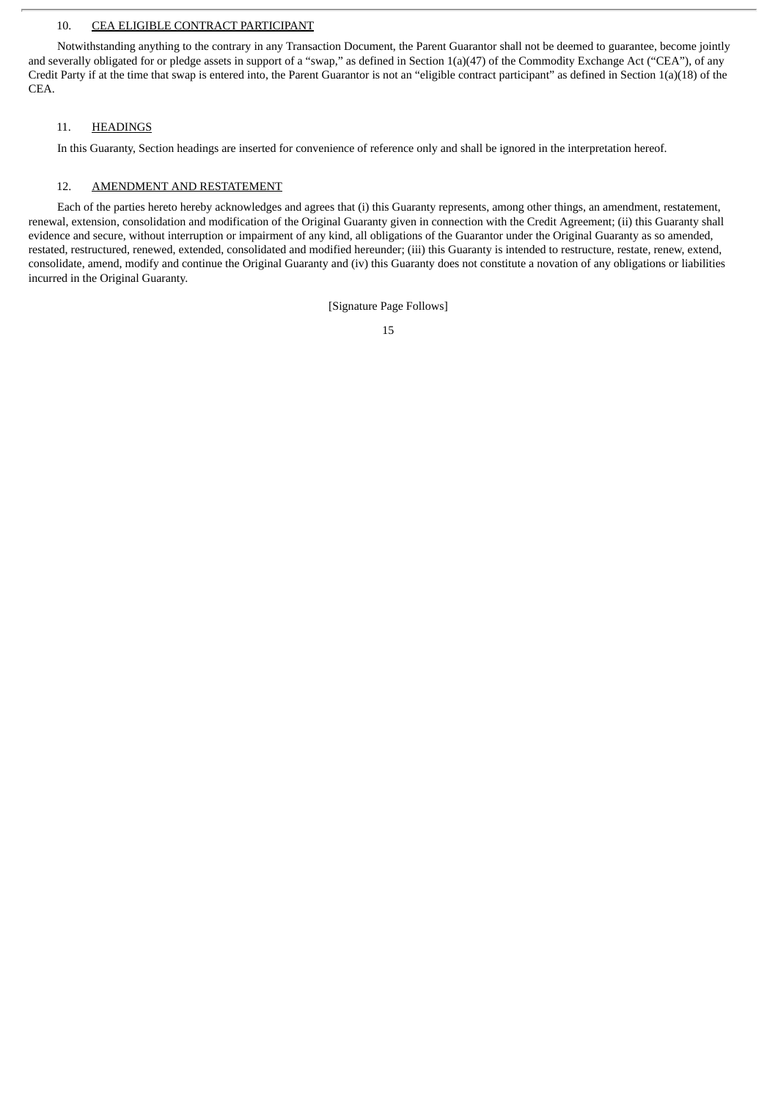#### 10. CEA ELIGIBLE CONTRACT PARTICIPANT

Notwithstanding anything to the contrary in any Transaction Document, the Parent Guarantor shall not be deemed to guarantee, become jointly and severally obligated for or pledge assets in support of a "swap," as defined in Section 1(a)(47) of the Commodity Exchange Act ("CEA"), of any Credit Party if at the time that swap is entered into, the Parent Guarantor is not an "eligible contract participant" as defined in Section 1(a)(18) of the CEA.

#### 11. HEADINGS

In this Guaranty, Section headings are inserted for convenience of reference only and shall be ignored in the interpretation hereof.

#### 12. AMENDMENT AND RESTATEMENT

Each of the parties hereto hereby acknowledges and agrees that (i) this Guaranty represents, among other things, an amendment, restatement, renewal, extension, consolidation and modification of the Original Guaranty given in connection with the Credit Agreement; (ii) this Guaranty shall evidence and secure, without interruption or impairment of any kind, all obligations of the Guarantor under the Original Guaranty as so amended, restated, restructured, renewed, extended, consolidated and modified hereunder; (iii) this Guaranty is intended to restructure, restate, renew, extend, consolidate, amend, modify and continue the Original Guaranty and (iv) this Guaranty does not constitute a novation of any obligations or liabilities incurred in the Original Guaranty.

[Signature Page Follows]

<sup>15</sup>